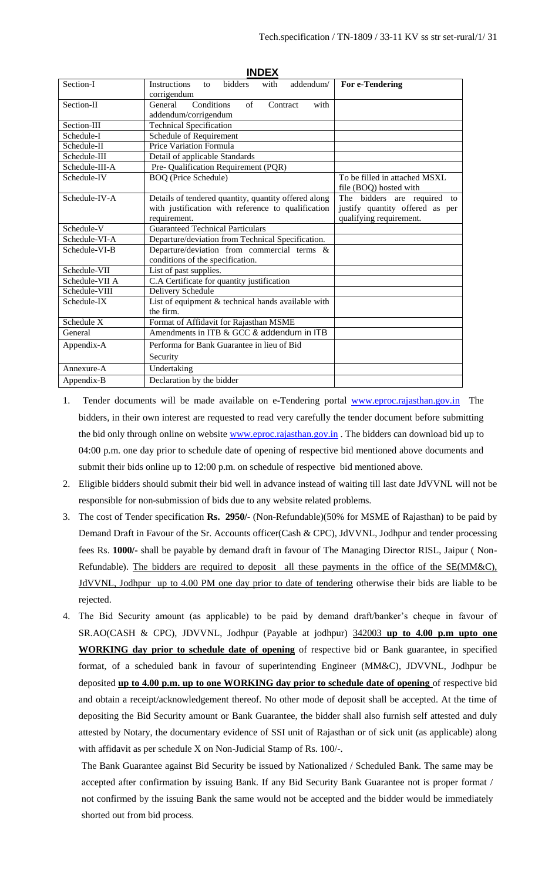| <b>INDEX</b>   |                                                                                 |                                                         |  |
|----------------|---------------------------------------------------------------------------------|---------------------------------------------------------|--|
| Section-I      | bidders<br>Instructions<br>with<br>addendum/<br>$\mathsf{f}$<br>corrigendum     | <b>For e-Tendering</b>                                  |  |
| Section-II     | Conditions<br>of<br>General<br>Contract<br>with<br>addendum/corrigendum         |                                                         |  |
| Section-III    | <b>Technical Specification</b>                                                  |                                                         |  |
| Schedule-I     | Schedule of Requirement                                                         |                                                         |  |
| Schedule-II    | Price Variation Formula                                                         |                                                         |  |
| Schedule-III   | Detail of applicable Standards                                                  |                                                         |  |
| Schedule-III-A | Pre- Qualification Requirement (PQR)                                            |                                                         |  |
| Schedule-IV    | <b>BOQ</b> (Price Schedule)                                                     | To be filled in attached MSXL<br>file (BOQ) hosted with |  |
| Schedule-IV-A  | Details of tendered quantity, quantity offered along                            | The bidders are required<br>to                          |  |
|                | with justification with reference to qualification                              | justify quantity offered as per                         |  |
|                | requirement.                                                                    | qualifying requirement.                                 |  |
| Schedule-V     | <b>Guaranteed Technical Particulars</b>                                         |                                                         |  |
| Schedule-VI-A  | Departure/deviation from Technical Specification.                               |                                                         |  |
| Schedule-VI-B  | Departure/deviation from commercial terms &<br>conditions of the specification. |                                                         |  |
| Schedule-VII   | List of past supplies.                                                          |                                                         |  |
| Schedule-VII A | C.A Certificate for quantity justification                                      |                                                         |  |
| Schedule-VIII  | Delivery Schedule                                                               |                                                         |  |
| Schedule-IX    | List of equipment & technical hands available with<br>the firm.                 |                                                         |  |
| Schedule X     | Format of Affidavit for Rajasthan MSME                                          |                                                         |  |
| General        | Amendments in ITB & GCC & addendum in ITB                                       |                                                         |  |
| Appendix-A     | Performa for Bank Guarantee in lieu of Bid                                      |                                                         |  |
|                | Security                                                                        |                                                         |  |
| Annexure-A     | Undertaking                                                                     |                                                         |  |
| Appendix-B     | Declaration by the bidder                                                       |                                                         |  |

- 1. Tender documents will be made available on e-Tendering portal [www.eproc.rajasthan.gov.in](http://www.eproc.rajasthan.gov.in/) The bidders, in their own interest are requested to read very carefully the tender document before submitting the bid only through online on website [www.eproc.rajasthan.gov.in](http://www.eproc.rajasthan.gov.in/). The bidders can download bid up to 04:00 p.m. one day prior to schedule date of opening of respective bid mentioned above documents and submit their bids online up to 12:00 p.m. on schedule of respective bid mentioned above.
- 2. Eligible bidders should submit their bid well in advance instead of waiting till last date JdVVNL will not be responsible for non-submission of bids due to any website related problems.
- 3. The cost of Tender specification **Rs. 2950/-** (Non-Refundable)(50% for MSME of Rajasthan) to be paid by Demand Draft in Favour of the Sr. Accounts officer(Cash & CPC), JdVVNL, Jodhpur and tender processing fees Rs. **1000/-** shall be payable by demand draft in favour of The Managing Director RISL, Jaipur ( Non-Refundable). The bidders are required to deposit all these payments in the office of the SE(MM&C), JdVVNL, Jodhpur up to 4.00 PM one day prior to date of tendering otherwise their bids are liable to be rejected.
- 4. The Bid Security amount (as applicable) to be paid by demand draft/banker's cheque in favour of SR.AO(CASH & CPC), JDVVNL, Jodhpur (Payable at jodhpur) 342003 **up to 4.00 p.m upto one WORKING day prior to schedule date of opening** of respective bid or Bank guarantee, in specified format, of a scheduled bank in favour of superintending Engineer (MM&C), JDVVNL, Jodhpur be deposited **up to 4.00 p.m. up to one WORKING day prior to schedule date of opening** of respective bid and obtain a receipt/acknowledgement thereof. No other mode of deposit shall be accepted. At the time of depositing the Bid Security amount or Bank Guarantee, the bidder shall also furnish self attested and duly attested by Notary, the documentary evidence of SSI unit of Rajasthan or of sick unit (as applicable) along with affidavit as per schedule X on Non-Judicial Stamp of Rs. 100/-.

The Bank Guarantee against Bid Security be issued by Nationalized / Scheduled Bank. The same may be accepted after confirmation by issuing Bank. If any Bid Security Bank Guarantee not is proper format / not confirmed by the issuing Bank the same would not be accepted and the bidder would be immediately shorted out from bid process.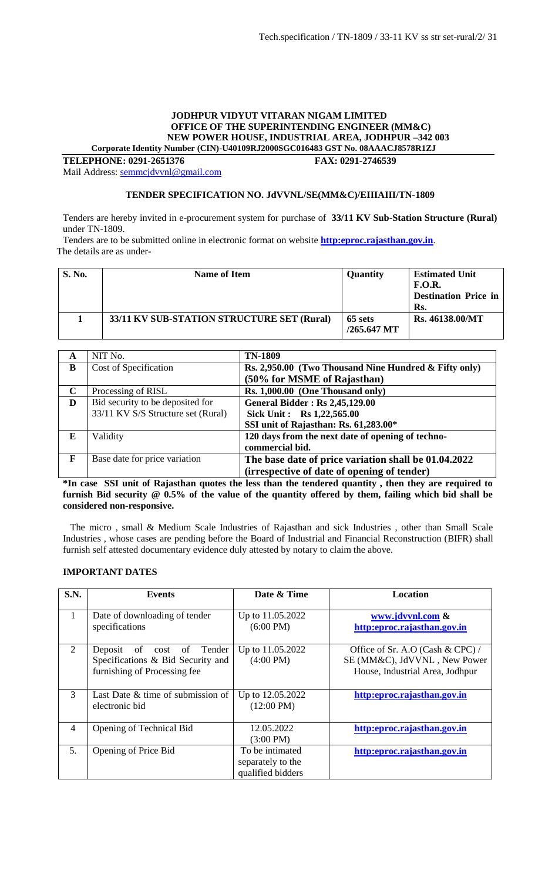#### **JODHPUR VIDYUT VITARAN NIGAM LIMITED OFFICE OF THE SUPERINTENDING ENGINEER (MM&C) NEW POWER HOUSE, INDUSTRIAL AREA, JODHPUR –342 003 Corporate Identity Number (CIN)-U40109RJ2000SGC016483 GST No. 08AAACJ8578R1ZJ**

**TELEPHONE: 0291-2651376 FAX: 0291-2746539**

Mail Address: [semmcjdvvnl@gmail.com](mailto:semmcjdvvnl@gmail.com)

#### **TENDER SPECIFICATION NO. JdVVNL/SE(MM&C)/EIIIAIII/TN-1809**

Tenders are hereby invited in e-procurement system for purchase of **33/11 KV Sub-Station Structure (Rural)** under TN-1809.

Tenders are to be submitted online in electronic format on website **[http:eproc.rajasthan.gov.in](http://www.eproc.rajasthan.gov.in/nicgep/app)**. The details are as under-

| <b>S. No.</b> | <b>Name of Item</b>                        | Quantity                 | <b>Estimated Unit</b><br>F.O.R.<br><b>Destination Price in</b><br>Rs. |
|---------------|--------------------------------------------|--------------------------|-----------------------------------------------------------------------|
|               | 33/11 KV SUB-STATION STRUCTURE SET (Rural) | 65 sets<br>$/265.647$ MT | Rs. 46138.00/MT                                                       |

| A           | NIT No.                            | <b>TN-1809</b>                                        |
|-------------|------------------------------------|-------------------------------------------------------|
| B           | Cost of Specification              | Rs. 2,950.00 (Two Thousand Nine Hundred & Fifty only) |
|             |                                    | (50% for MSME of Rajasthan)                           |
| $\mathbf C$ | Processing of RISL                 | Rs. 1,000.00 (One Thousand only)                      |
| D           | Bid security to be deposited for   | <b>General Bidder: Rs 2,45,129.00</b>                 |
|             | 33/11 KV S/S Structure set (Rural) | Sick Unit: Rs 1,22,565.00                             |
|             |                                    | SSI unit of Rajasthan: Rs. 61,283.00*                 |
| E           | Validity                           | 120 days from the next date of opening of techno-     |
|             |                                    | commercial bid.                                       |
| F           | Base date for price variation      | The base date of price variation shall be 01.04.2022  |
|             |                                    | (irrespective of date of opening of tender)           |

**\*In case SSI unit of Rajasthan quotes the less than the tendered quantity , then they are required to furnish Bid security @ 0.5% of the value of the quantity offered by them, failing which bid shall be considered non-responsive.**

 The micro , small & Medium Scale Industries of Rajasthan and sick Industries , other than Small Scale Industries , whose cases are pending before the Board of Industrial and Financial Reconstruction (BIFR) shall furnish self attested documentary evidence duly attested by notary to claim the above.

#### **IMPORTANT DATES**

| S.N.           | <b>Events</b>                                                                                           | Date & Time                                               | <b>Location</b>                                                                                     |
|----------------|---------------------------------------------------------------------------------------------------------|-----------------------------------------------------------|-----------------------------------------------------------------------------------------------------|
| 1              | Date of downloading of tender<br>specifications                                                         | Up to 11.05.2022<br>$(6:00 \text{ PM})$                   | www.jdvvnl.com &<br>http:eproc.rajasthan.gov.in                                                     |
| 2              | Deposit<br>Tender<br>of<br>cost of<br>Specifications & Bid Security and<br>furnishing of Processing fee | Up to 11.05.2022<br>$(4:00 \text{ PM})$                   | Office of Sr. A.O (Cash & CPC) /<br>SE (MM&C), JdVVNL, New Power<br>House, Industrial Area, Jodhpur |
| 3              | Last Date & time of submission of<br>electronic bid                                                     | Up to 12.05.2022<br>$(12:00 \text{ PM})$                  | http:eproc.rajasthan.gov.in                                                                         |
| $\overline{4}$ | Opening of Technical Bid                                                                                | 12.05.2022<br>$(3:00 \text{ PM})$                         | http:eproc.rajasthan.gov.in                                                                         |
| 5.             | Opening of Price Bid                                                                                    | To be intimated<br>separately to the<br>qualified bidders | http:eproc.rajasthan.gov.in                                                                         |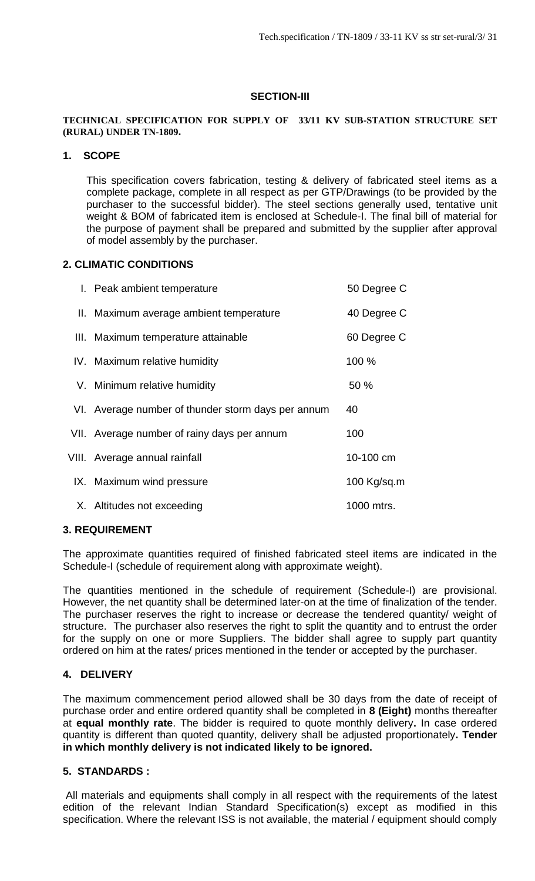# **SECTION-III**

#### **TECHNICAL SPECIFICATION FOR SUPPLY OF 33/11 KV SUB-STATION STRUCTURE SET (RURAL) UNDER TN-1809.**

# **1. SCOPE**

This specification covers fabrication, testing & delivery of fabricated steel items as a complete package, complete in all respect as per GTP/Drawings (to be provided by the purchaser to the successful bidder). The steel sections generally used, tentative unit weight & BOM of fabricated item is enclosed at Schedule-I. The final bill of material for the purpose of payment shall be prepared and submitted by the supplier after approval of model assembly by the purchaser.

# **2. CLIMATIC CONDITIONS**

| I. Peak ambient temperature                        | 50 Degree C |
|----------------------------------------------------|-------------|
| II. Maximum average ambient temperature            | 40 Degree C |
| III. Maximum temperature attainable                | 60 Degree C |
| IV. Maximum relative humidity                      | 100 %       |
| V. Minimum relative humidity                       | 50 %        |
| VI. Average number of thunder storm days per annum | 40          |
| VII. Average number of rainy days per annum        | 100         |
| VIII. Average annual rainfall                      | 10-100 cm   |
| IX. Maximum wind pressure                          | 100 Kg/sq.m |
| X. Altitudes not exceeding                         | 1000 mtrs.  |

## **3. REQUIREMENT**

The approximate quantities required of finished fabricated steel items are indicated in the Schedule-I (schedule of requirement along with approximate weight).

The quantities mentioned in the schedule of requirement (Schedule-I) are provisional. However, the net quantity shall be determined later-on at the time of finalization of the tender. The purchaser reserves the right to increase or decrease the tendered quantity/ weight of structure. The purchaser also reserves the right to split the quantity and to entrust the order for the supply on one or more Suppliers. The bidder shall agree to supply part quantity ordered on him at the rates/ prices mentioned in the tender or accepted by the purchaser.

# **4. DELIVERY**

The maximum commencement period allowed shall be 30 days from the date of receipt of purchase order and entire ordered quantity shall be completed in **8 (Eight)** months thereafter at **equal monthly rate**. The bidder is required to quote monthly delivery**.** In case ordered quantity is different than quoted quantity, delivery shall be adjusted proportionately**. Tender in which monthly delivery is not indicated likely to be ignored.**

## **5. STANDARDS :**

All materials and equipments shall comply in all respect with the requirements of the latest edition of the relevant Indian Standard Specification(s) except as modified in this specification. Where the relevant ISS is not available, the material / equipment should comply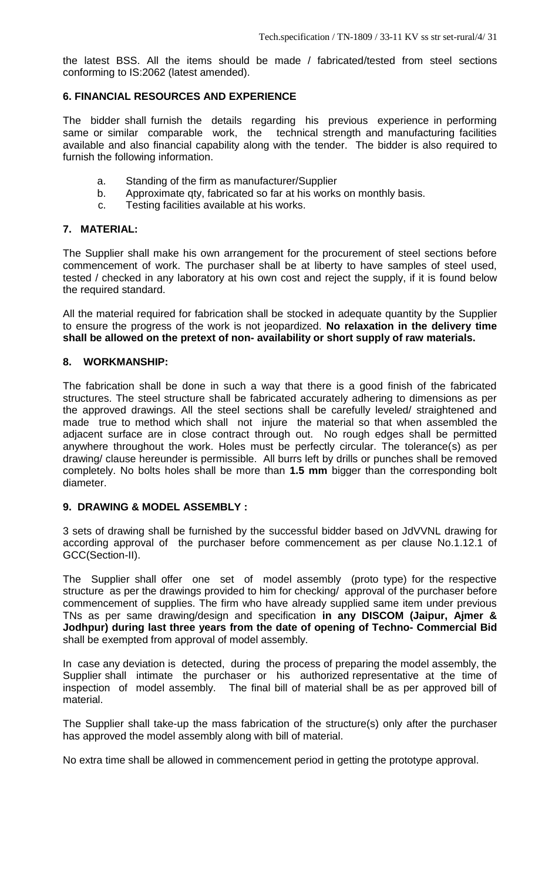the latest BSS. All the items should be made / fabricated/tested from steel sections conforming to IS:2062 (latest amended).

# **6. FINANCIAL RESOURCES AND EXPERIENCE**

The bidder shall furnish the details regarding his previous experience in performing same or similar comparable work, the technical strength and manufacturing facilities available and also financial capability along with the tender. The bidder is also required to furnish the following information.

- a. Standing of the firm as manufacturer/Supplier
- b. Approximate qty, fabricated so far at his works on monthly basis.
- c. Testing facilities available at his works.

# **7. MATERIAL:**

The Supplier shall make his own arrangement for the procurement of steel sections before commencement of work. The purchaser shall be at liberty to have samples of steel used, tested / checked in any laboratory at his own cost and reject the supply, if it is found below the required standard.

All the material required for fabrication shall be stocked in adequate quantity by the Supplier to ensure the progress of the work is not jeopardized. **No relaxation in the delivery time shall be allowed on the pretext of non- availability or short supply of raw materials.**

# **8. WORKMANSHIP:**

The fabrication shall be done in such a way that there is a good finish of the fabricated structures. The steel structure shall be fabricated accurately adhering to dimensions as per the approved drawings. All the steel sections shall be carefully leveled/ straightened and made true to method which shall not injure the material so that when assembled the adjacent surface are in close contract through out. No rough edges shall be permitted anywhere throughout the work. Holes must be perfectly circular. The tolerance(s) as per drawing/ clause hereunder is permissible. All burrs left by drills or punches shall be removed completely. No bolts holes shall be more than **1.5 mm** bigger than the corresponding bolt diameter.

# **9. DRAWING & MODEL ASSEMBLY :**

3 sets of drawing shall be furnished by the successful bidder based on JdVVNL drawing for according approval of the purchaser before commencement as per clause No.1.12.1 of GCC(Section-II).

The Supplier shall offer one set of model assembly (proto type) for the respective structure as per the drawings provided to him for checking/ approval of the purchaser before commencement of supplies. The firm who have already supplied same item under previous TNs as per same drawing/design and specification **in any DISCOM (Jaipur, Ajmer & Jodhpur) during last three years from the date of opening of Techno- Commercial Bid** shall be exempted from approval of model assembly.

In case any deviation is detected, during the process of preparing the model assembly, the Supplier shall intimate the purchaser or his authorized representative at the time of inspection of model assembly. The final bill of material shall be as per approved bill of material.

The Supplier shall take-up the mass fabrication of the structure(s) only after the purchaser has approved the model assembly along with bill of material.

No extra time shall be allowed in commencement period in getting the prototype approval.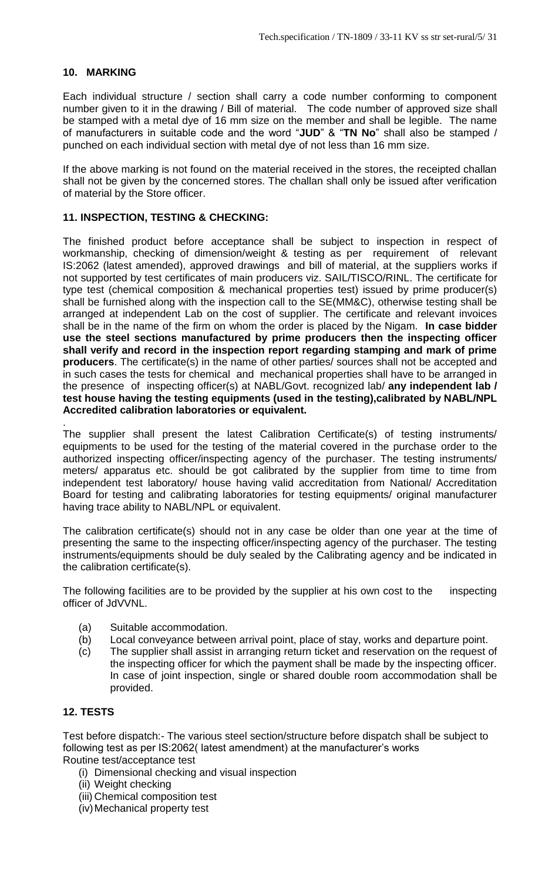# **10. MARKING**

Each individual structure / section shall carry a code number conforming to component number given to it in the drawing / Bill of material. The code number of approved size shall be stamped with a metal dye of 16 mm size on the member and shall be legible. The name of manufacturers in suitable code and the word "**JUD**" & "**TN No**" shall also be stamped / punched on each individual section with metal dye of not less than 16 mm size.

If the above marking is not found on the material received in the stores, the receipted challan shall not be given by the concerned stores. The challan shall only be issued after verification of material by the Store officer.

# **11. INSPECTION, TESTING & CHECKING:**

The finished product before acceptance shall be subject to inspection in respect of workmanship, checking of dimension/weight & testing as per requirement of relevant IS:2062 (latest amended), approved drawings and bill of material, at the suppliers works if not supported by test certificates of main producers viz. SAIL/TISCO/RINL. The certificate for type test (chemical composition & mechanical properties test) issued by prime producer(s) shall be furnished along with the inspection call to the SE(MM&C), otherwise testing shall be arranged at independent Lab on the cost of supplier. The certificate and relevant invoices shall be in the name of the firm on whom the order is placed by the Nigam. **In case bidder use the steel sections manufactured by prime producers then the inspecting officer shall verify and record in the inspection report regarding stamping and mark of prime producers**. The certificate(s) in the name of other parties/ sources shall not be accepted and in such cases the tests for chemical and mechanical properties shall have to be arranged in the presence of inspecting officer(s) at NABL/Govt. recognized lab/ **any independent lab / test house having the testing equipments (used in the testing),calibrated by NABL/NPL Accredited calibration laboratories or equivalent.**

The supplier shall present the latest Calibration Certificate(s) of testing instruments/ equipments to be used for the testing of the material covered in the purchase order to the authorized inspecting officer/inspecting agency of the purchaser. The testing instruments/ meters/ apparatus etc. should be got calibrated by the supplier from time to time from independent test laboratory/ house having valid accreditation from National/ Accreditation Board for testing and calibrating laboratories for testing equipments/ original manufacturer having trace ability to NABL/NPL or equivalent.

The calibration certificate(s) should not in any case be older than one year at the time of presenting the same to the inspecting officer/inspecting agency of the purchaser. The testing instruments/equipments should be duly sealed by the Calibrating agency and be indicated in the calibration certificate(s).

The following facilities are to be provided by the supplier at his own cost to the inspecting officer of JdVVNL.

- (a) Suitable accommodation.
- (b) Local conveyance between arrival point, place of stay, works and departure point.
- (c) The supplier shall assist in arranging return ticket and reservation on the request of the inspecting officer for which the payment shall be made by the inspecting officer. In case of joint inspection, single or shared double room accommodation shall be provided.

# **12. TESTS**

.

Test before dispatch:- The various steel section/structure before dispatch shall be subject to following test as per IS:2062( latest amendment) at the manufacturer's works Routine test/acceptance test

- (i) Dimensional checking and visual inspection
- (ii) Weight checking
- (iii) Chemical composition test
- (iv)Mechanical property test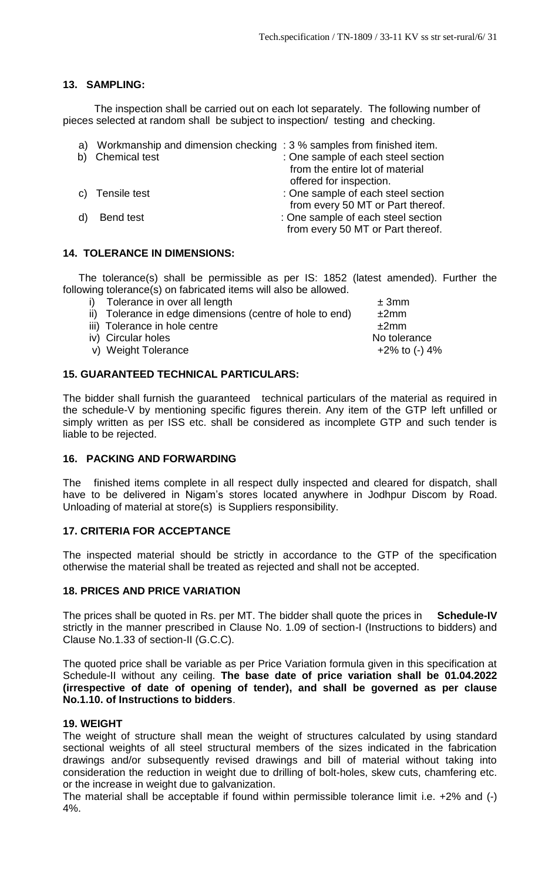# **13. SAMPLING:**

The inspection shall be carried out on each lot separately. The following number of pieces selected at random shall be subject to inspection/ testing and checking.

| a) | Workmanship and dimension checking: 3 % samples from finished item. |                                    |
|----|---------------------------------------------------------------------|------------------------------------|
|    | <b>Chemical test</b>                                                | : One sample of each steel section |
|    |                                                                     | from the entire lot of material    |
|    |                                                                     | offered for inspection.            |
|    | c) Tensile test                                                     | : One sample of each steel section |
|    |                                                                     | from every 50 MT or Part thereof.  |
|    | <b>Bend test</b>                                                    | : One sample of each steel section |
|    |                                                                     | from every 50 MT or Part thereof.  |

# **14. TOLERANCE IN DIMENSIONS:**

The tolerance(s) shall be permissible as per IS: 1852 (latest amended). Further the following tolerance(s) on fabricated items will also be allowed.

| i) Tolerance in over all length                          | ± 3mm            |
|----------------------------------------------------------|------------------|
| ii) Tolerance in edge dimensions (centre of hole to end) | ±2mm             |
| iii) Tolerance in hole centre                            | ±2mm             |
| iv) Circular holes                                       | No tolerance     |
| v) Weight Tolerance                                      | $+2\%$ to (-) 4% |
|                                                          |                  |

# **15. GUARANTEED TECHNICAL PARTICULARS:**

The bidder shall furnish the guaranteed technical particulars of the material as required in the schedule-V by mentioning specific figures therein. Any item of the GTP left unfilled or simply written as per ISS etc. shall be considered as incomplete GTP and such tender is liable to be rejected.

# **16. PACKING AND FORWARDING**

The finished items complete in all respect dully inspected and cleared for dispatch, shall have to be delivered in Nigam's stores located anywhere in Jodhpur Discom by Road. Unloading of material at store(s) is Suppliers responsibility.

# **17. CRITERIA FOR ACCEPTANCE**

The inspected material should be strictly in accordance to the GTP of the specification otherwise the material shall be treated as rejected and shall not be accepted.

## **18. PRICES AND PRICE VARIATION**

The prices shall be quoted in Rs. per MT. The bidder shall quote the prices in **Schedule-IV** strictly in the manner prescribed in Clause No. 1.09 of section-I (Instructions to bidders) and Clause No.1.33 of section-II (G.C.C).

The quoted price shall be variable as per Price Variation formula given in this specification at Schedule-II without any ceiling. **The base date of price variation shall be 01.04.2022 (irrespective of date of opening of tender), and shall be governed as per clause No.1.10. of Instructions to bidders**.

## **19. WEIGHT**

The weight of structure shall mean the weight of structures calculated by using standard sectional weights of all steel structural members of the sizes indicated in the fabrication drawings and/or subsequently revised drawings and bill of material without taking into consideration the reduction in weight due to drilling of bolt-holes, skew cuts, chamfering etc. or the increase in weight due to galvanization.

The material shall be acceptable if found within permissible tolerance limit i.e. +2% and (-) 4%.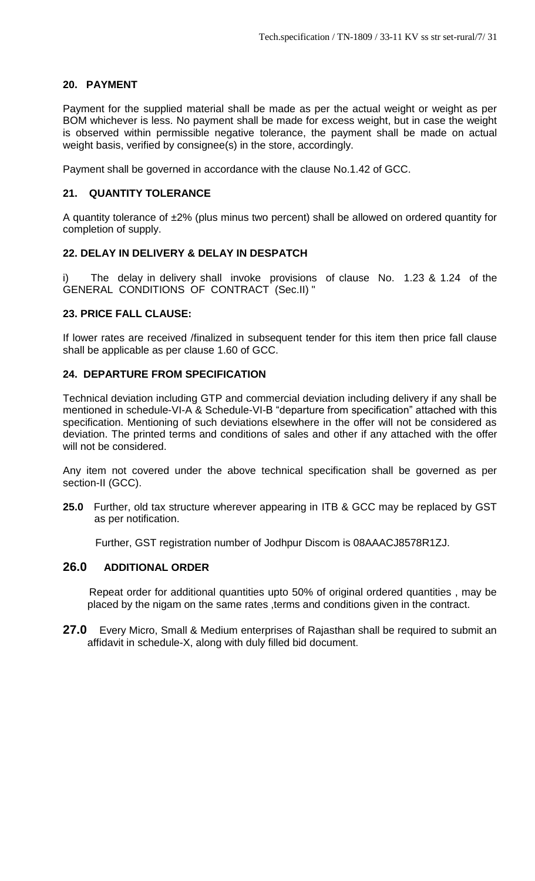# **20. PAYMENT**

Payment for the supplied material shall be made as per the actual weight or weight as per BOM whichever is less. No payment shall be made for excess weight, but in case the weight is observed within permissible negative tolerance, the payment shall be made on actual weight basis, verified by consignee(s) in the store, accordingly.

Payment shall be governed in accordance with the clause No.1.42 of GCC.

# **21. QUANTITY TOLERANCE**

A quantity tolerance of ±2% (plus minus two percent) shall be allowed on ordered quantity for completion of supply.

# **22. DELAY IN DELIVERY & DELAY IN DESPATCH**

i) The delay in delivery shall invoke provisions of clause No. 1.23 & 1.24 of the GENERAL CONDITIONS OF CONTRACT (Sec.II) "

# **23. PRICE FALL CLAUSE:**

If lower rates are received /finalized in subsequent tender for this item then price fall clause shall be applicable as per clause 1.60 of GCC.

# **24. DEPARTURE FROM SPECIFICATION**

Technical deviation including GTP and commercial deviation including delivery if any shall be mentioned in schedule-VI-A & Schedule-VI-B "departure from specification" attached with this specification. Mentioning of such deviations elsewhere in the offer will not be considered as deviation. The printed terms and conditions of sales and other if any attached with the offer will not be considered.

Any item not covered under the above technical specification shall be governed as per section-II (GCC).

**25.0** Further, old tax structure wherever appearing in ITB & GCC may be replaced by GST as per notification.

Further, GST registration number of Jodhpur Discom is 08AAACJ8578R1ZJ.

# **26.0 ADDITIONAL ORDER**

 Repeat order for additional quantities upto 50% of original ordered quantities , may be placed by the nigam on the same rates ,terms and conditions given in the contract.

**27.0** Every Micro, Small & Medium enterprises of Rajasthan shall be required to submit an affidavit in schedule-X, along with duly filled bid document.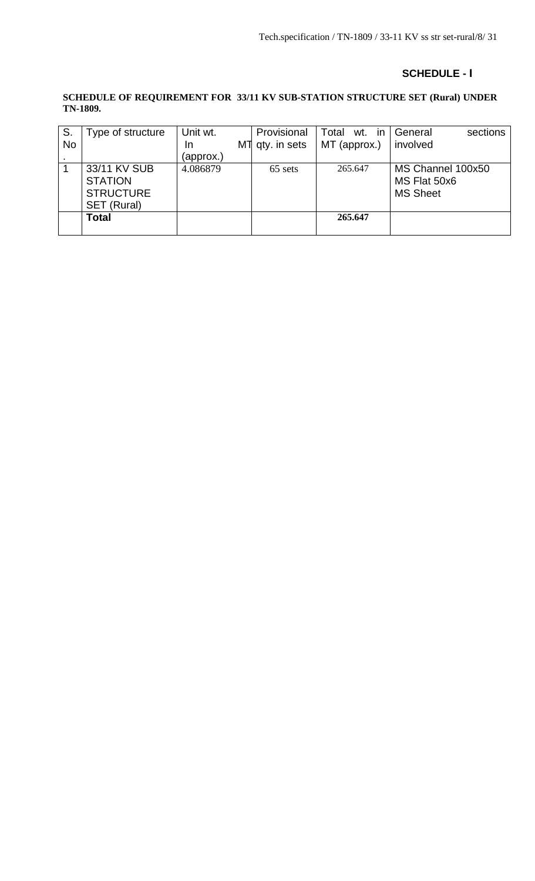# **SCHEDULE - I**

#### **SCHEDULE OF REQUIREMENT FOR 33/11 KV SUB-STATION STRUCTURE SET (Rural) UNDER TN-1809.**

| S.        | Type of structure | Unit wt.  | Provisional  | Total wt. in | sections<br>General |
|-----------|-------------------|-----------|--------------|--------------|---------------------|
| <b>No</b> |                   | MT<br>In. | qty. in sets | MT (approx.) | involved            |
|           |                   | (approx.) |              |              |                     |
|           | 33/11 KV SUB      | 4.086879  | 65 sets      | 265.647      | MS Channel 100x50   |
|           | <b>STATION</b>    |           |              |              | MS Flat 50x6        |
|           | <b>STRUCTURE</b>  |           |              |              | <b>MS Sheet</b>     |
|           | SET (Rural)       |           |              |              |                     |
|           | <b>Total</b>      |           |              | 265.647      |                     |
|           |                   |           |              |              |                     |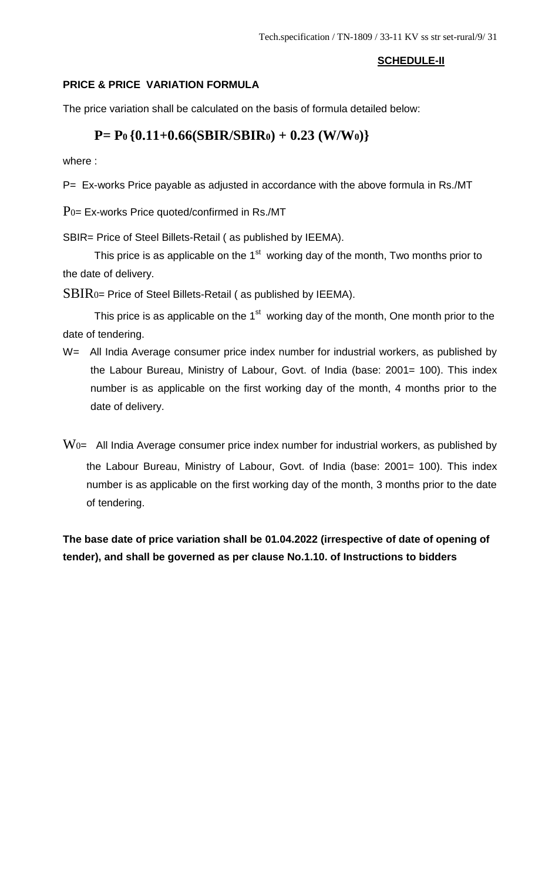# **SCHEDULE-II**

# **PRICE & PRICE VARIATION FORMULA**

The price variation shall be calculated on the basis of formula detailed below:

# **P= P0 {0.11+0.66(SBIR/SBIR0) + 0.23 (W/W0)}**

where :

P= Ex-works Price payable as adjusted in accordance with the above formula in Rs./MT

 $P<sub>0</sub>=$  Ex-works Price quoted/confirmed in Rs./MT

SBIR= Price of Steel Billets-Retail ( as published by IEEMA).

This price is as applicable on the 1<sup>st</sup> working day of the month, Two months prior to the date of delivery.

 $SBIR$ <sub>0</sub>= Price of Steel Billets-Retail (as published by IEEMA).

This price is as applicable on the 1<sup>st</sup> working day of the month, One month prior to the date of tendering.

- W= All India Average consumer price index number for industrial workers, as published by the Labour Bureau, Ministry of Labour, Govt. of India (base: 2001= 100). This index number is as applicable on the first working day of the month, 4 months prior to the date of delivery.
- $\rm{Wo}$  All India Average consumer price index number for industrial workers, as published by the Labour Bureau, Ministry of Labour, Govt. of India (base: 2001= 100). This index number is as applicable on the first working day of the month, 3 months prior to the date of tendering.

**The base date of price variation shall be 01.04.2022 (irrespective of date of opening of tender), and shall be governed as per clause No.1.10. of Instructions to bidders**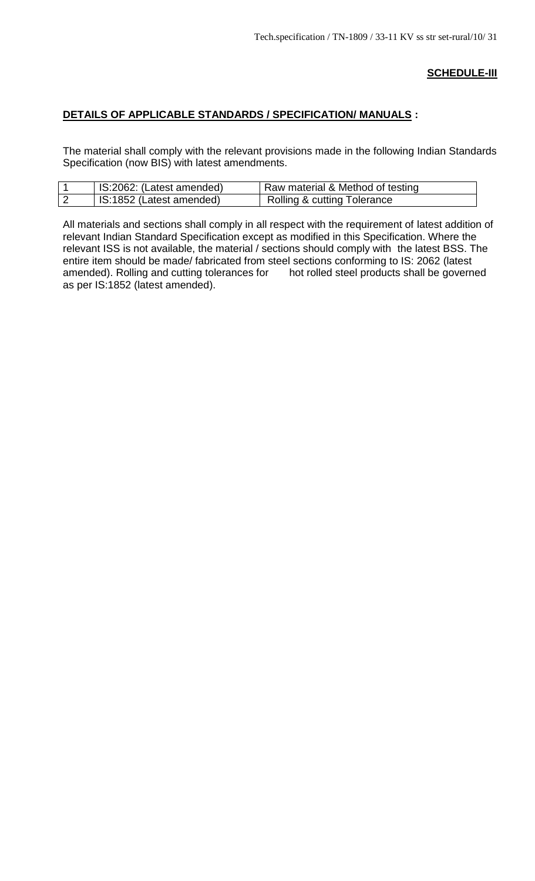## **SCHEDULE-III**

# **DETAILS OF APPLICABLE STANDARDS / SPECIFICATION/ MANUALS :**

The material shall comply with the relevant provisions made in the following Indian Standards Specification (now BIS) with latest amendments.

| IS:2062: (Latest amended) | Raw material & Method of testing       |
|---------------------------|----------------------------------------|
| IS:1852 (Latest amended)  | <b>Rolling &amp; cutting Tolerance</b> |

All materials and sections shall comply in all respect with the requirement of latest addition of relevant Indian Standard Specification except as modified in this Specification. Where the relevant ISS is not available, the material / sections should comply with the latest BSS. The entire item should be made/ fabricated from steel sections conforming to IS: 2062 (latest amended). Rolling and cutting tolerances for hot rolled steel products shall be governed as per IS:1852 (latest amended).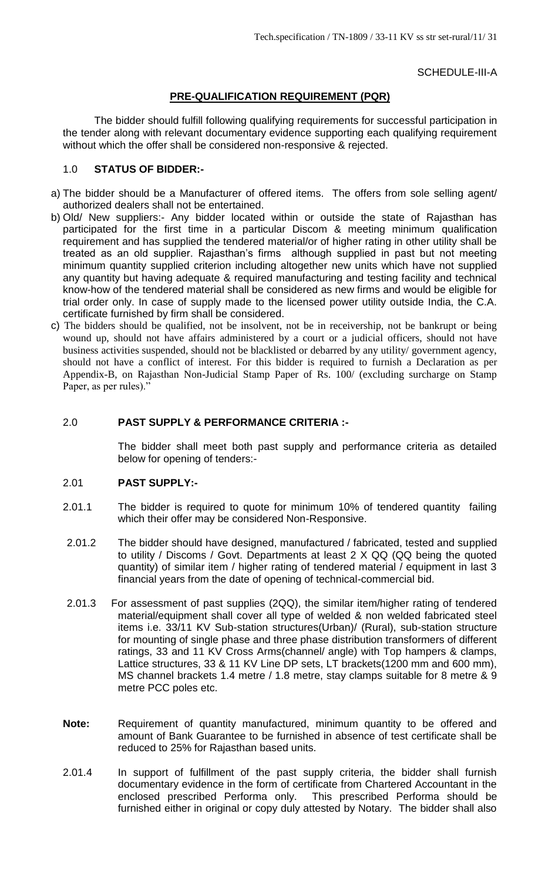SCHEDULE-III-A

# **PRE-QUALIFICATION REQUIREMENT (PQR)**

The bidder should fulfill following qualifying requirements for successful participation in the tender along with relevant documentary evidence supporting each qualifying requirement without which the offer shall be considered non-responsive & rejected.

## 1.0 **STATUS OF BIDDER:-**

- a) The bidder should be a Manufacturer of offered items. The offers from sole selling agent/ authorized dealers shall not be entertained.
- b) Old/ New suppliers:- Any bidder located within or outside the state of Rajasthan has participated for the first time in a particular Discom & meeting minimum qualification requirement and has supplied the tendered material/or of higher rating in other utility shall be treated as an old supplier. Rajasthan's firms although supplied in past but not meeting minimum quantity supplied criterion including altogether new units which have not supplied any quantity but having adequate & required manufacturing and testing facility and technical know-how of the tendered material shall be considered as new firms and would be eligible for trial order only. In case of supply made to the licensed power utility outside India, the C.A. certificate furnished by firm shall be considered.
- c) The bidders should be qualified, not be insolvent, not be in receivership, not be bankrupt or being wound up, should not have affairs administered by a court or a judicial officers, should not have business activities suspended, should not be blacklisted or debarred by any utility/ government agency, should not have a conflict of interest. For this bidder is required to furnish a Declaration as per Appendix-B, on Rajasthan Non-Judicial Stamp Paper of Rs. 100/ (excluding surcharge on Stamp Paper, as per rules)."

#### 2.0 **PAST SUPPLY & PERFORMANCE CRITERIA :-**

The bidder shall meet both past supply and performance criteria as detailed below for opening of tenders:-

#### 2.01 **PAST SUPPLY:-**

- 2.01.1 The bidder is required to quote for minimum 10% of tendered quantity failing which their offer may be considered Non-Responsive.
- 2.01.2 The bidder should have designed, manufactured / fabricated, tested and supplied to utility / Discoms / Govt. Departments at least 2 X QQ (QQ being the quoted quantity) of similar item / higher rating of tendered material / equipment in last 3 financial years from the date of opening of technical-commercial bid.
- 2.01.3 For assessment of past supplies (2QQ), the similar item/higher rating of tendered material/equipment shall cover all type of welded & non welded fabricated steel items i.e. 33/11 KV Sub-station structures(Urban)/ (Rural), sub-station structure for mounting of single phase and three phase distribution transformers of different ratings, 33 and 11 KV Cross Arms(channel/ angle) with Top hampers & clamps, Lattice structures, 33 & 11 KV Line DP sets, LT brackets(1200 mm and 600 mm), MS channel brackets 1.4 metre / 1.8 metre, stay clamps suitable for 8 metre & 9 metre PCC poles etc.
- **Note:** Requirement of quantity manufactured, minimum quantity to be offered and amount of Bank Guarantee to be furnished in absence of test certificate shall be reduced to 25% for Rajasthan based units.
- 2.01.4 In support of fulfillment of the past supply criteria, the bidder shall furnish documentary evidence in the form of certificate from Chartered Accountant in the enclosed prescribed Performa only. This prescribed Performa should be furnished either in original or copy duly attested by Notary. The bidder shall also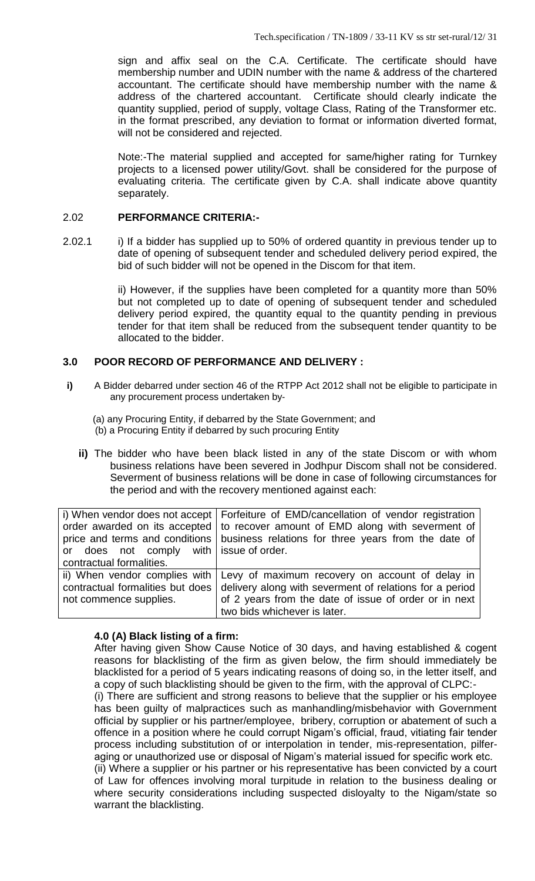sign and affix seal on the C.A. Certificate. The certificate should have membership number and UDIN number with the name & address of the chartered accountant. The certificate should have membership number with the name & address of the chartered accountant. Certificate should clearly indicate the quantity supplied, period of supply, voltage Class, Rating of the Transformer etc. in the format prescribed, any deviation to format or information diverted format, will not be considered and rejected.

Note:-The material supplied and accepted for same/higher rating for Turnkey projects to a licensed power utility/Govt. shall be considered for the purpose of evaluating criteria. The certificate given by C.A. shall indicate above quantity separately.

## 2.02 **PERFORMANCE CRITERIA:-**

2.02.1 i) If a bidder has supplied up to 50% of ordered quantity in previous tender up to date of opening of subsequent tender and scheduled delivery period expired, the bid of such bidder will not be opened in the Discom for that item.

> ii) However, if the supplies have been completed for a quantity more than 50% but not completed up to date of opening of subsequent tender and scheduled delivery period expired, the quantity equal to the quantity pending in previous tender for that item shall be reduced from the subsequent tender quantity to be allocated to the bidder.

# **3.0 POOR RECORD OF PERFORMANCE AND DELIVERY :**

**i)** A Bidder debarred under section 46 of the RTPP Act 2012 shall not be eligible to participate in any procurement process undertaken by‐

(a) any Procuring Entity, if debarred by the State Government; and (b) a Procuring Entity if debarred by such procuring Entity

**ii)** The bidder who have been black listed in any of the state Discom or with whom business relations have been severed in Jodhpur Discom shall not be considered. Severment of business relations will be done in case of following circumstances for the period and with the recovery mentioned against each:

|                                         | i) When vendor does not accept   Forfeiture of EMD/cancellation of vendor registration |
|-----------------------------------------|----------------------------------------------------------------------------------------|
|                                         | order awarded on its accepted   to recover amount of EMD along with severment of       |
|                                         | price and terms and conditions   business relations for three years from the date of   |
| or does not comply with issue of order. |                                                                                        |
| contractual formalities.                |                                                                                        |
|                                         | ii) When vendor complies with Levy of maximum recovery on account of delay in          |
| contractual formalities but does        | delivery along with severment of relations for a period                                |
| not commence supplies.                  | of 2 years from the date of issue of order or in next                                  |
|                                         | two bids whichever is later.                                                           |

## **4.0 (A) Black listing of a firm:**

After having given Show Cause Notice of 30 days, and having established & cogent reasons for blacklisting of the firm as given below, the firm should immediately be blacklisted for a period of 5 years indicating reasons of doing so, in the letter itself, and a copy of such blacklisting should be given to the firm, with the approval of CLPC:-

(i) There are sufficient and strong reasons to believe that the supplier or his employee has been guilty of malpractices such as manhandling/misbehavior with Government official by supplier or his partner/employee, bribery, corruption or abatement of such a offence in a position where he could corrupt Nigam's official, fraud, vitiating fair tender process including substitution of or interpolation in tender, mis-representation, pilferaging or unauthorized use or disposal of Nigam's material issued for specific work etc. (ii) Where a supplier or his partner or his representative has been convicted by a court

of Law for offences involving moral turpitude in relation to the business dealing or where security considerations including suspected disloyalty to the Nigam/state so warrant the blacklisting.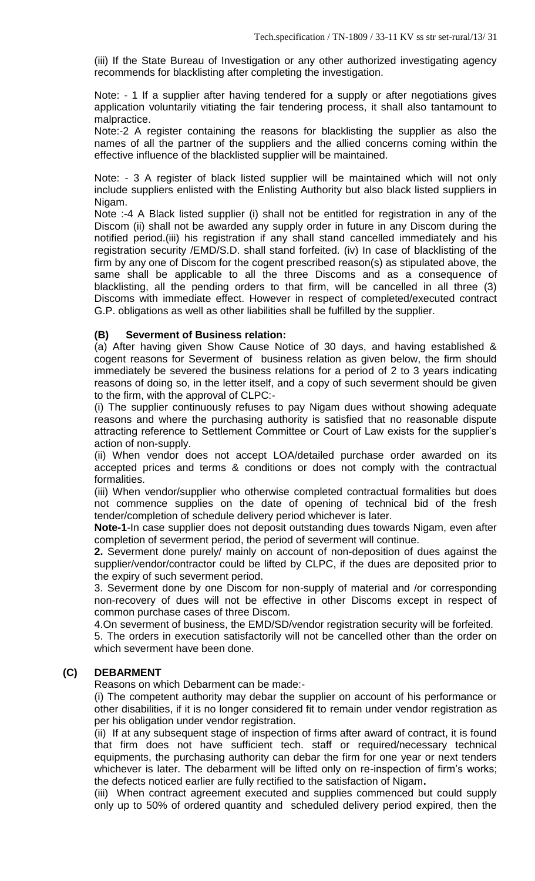(iii) If the State Bureau of Investigation or any other authorized investigating agency recommends for blacklisting after completing the investigation.

Note: - 1 If a supplier after having tendered for a supply or after negotiations gives application voluntarily vitiating the fair tendering process, it shall also tantamount to malpractice.

Note:-2 A register containing the reasons for blacklisting the supplier as also the names of all the partner of the suppliers and the allied concerns coming within the effective influence of the blacklisted supplier will be maintained.

Note: - 3 A register of black listed supplier will be maintained which will not only include suppliers enlisted with the Enlisting Authority but also black listed suppliers in Nigam.

Note :-4 A Black listed supplier (i) shall not be entitled for registration in any of the Discom (ii) shall not be awarded any supply order in future in any Discom during the notified period.(iii) his registration if any shall stand cancelled immediately and his registration security /EMD/S.D. shall stand forfeited. (iv) In case of blacklisting of the firm by any one of Discom for the cogent prescribed reason(s) as stipulated above, the same shall be applicable to all the three Discoms and as a consequence of blacklisting, all the pending orders to that firm, will be cancelled in all three (3) Discoms with immediate effect. However in respect of completed/executed contract G.P. obligations as well as other liabilities shall be fulfilled by the supplier.

# **(B) Severment of Business relation:**

(a) After having given Show Cause Notice of 30 days, and having established & cogent reasons for Severment of business relation as given below, the firm should immediately be severed the business relations for a period of 2 to 3 years indicating reasons of doing so, in the letter itself, and a copy of such severment should be given to the firm, with the approval of CLPC:-

(i) The supplier continuously refuses to pay Nigam dues without showing adequate reasons and where the purchasing authority is satisfied that no reasonable dispute attracting reference to Settlement Committee or Court of Law exists for the supplier's action of non-supply.

(ii) When vendor does not accept LOA/detailed purchase order awarded on its accepted prices and terms & conditions or does not comply with the contractual formalities.

(iii) When vendor/supplier who otherwise completed contractual formalities but does not commence supplies on the date of opening of technical bid of the fresh tender/completion of schedule delivery period whichever is later.

**Note-1**-In case supplier does not deposit outstanding dues towards Nigam, even after completion of severment period, the period of severment will continue.

**2.** Severment done purely/ mainly on account of non-deposition of dues against the supplier/vendor/contractor could be lifted by CLPC, if the dues are deposited prior to the expiry of such severment period.

3. Severment done by one Discom for non-supply of material and /or corresponding non-recovery of dues will not be effective in other Discoms except in respect of common purchase cases of three Discom.

4.On severment of business, the EMD/SD/vendor registration security will be forfeited.

5. The orders in execution satisfactorily will not be cancelled other than the order on which severment have been done.

# **(C) DEBARMENT**

Reasons on which Debarment can be made:-

(i) The competent authority may debar the supplier on account of his performance or other disabilities, if it is no longer considered fit to remain under vendor registration as per his obligation under vendor registration.

(ii) If at any subsequent stage of inspection of firms after award of contract, it is found that firm does not have sufficient tech. staff or required/necessary technical equipments, the purchasing authority can debar the firm for one year or next tenders whichever is later. The debarment will be lifted only on re-inspection of firm's works; the defects noticed earlier are fully rectified to the satisfaction of Nigam**.** 

(iii) When contract agreement executed and supplies commenced but could supply only up to 50% of ordered quantity and scheduled delivery period expired, then the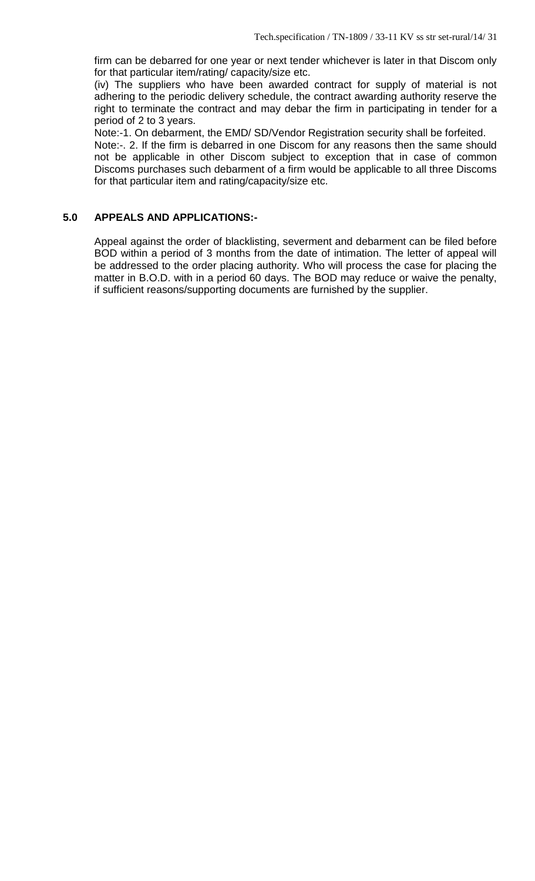firm can be debarred for one year or next tender whichever is later in that Discom only for that particular item/rating/ capacity/size etc.

(iv) The suppliers who have been awarded contract for supply of material is not adhering to the periodic delivery schedule, the contract awarding authority reserve the right to terminate the contract and may debar the firm in participating in tender for a period of 2 to 3 years.

Note:-1. On debarment, the EMD/ SD/Vendor Registration security shall be forfeited.

Note:-. 2. If the firm is debarred in one Discom for any reasons then the same should not be applicable in other Discom subject to exception that in case of common Discoms purchases such debarment of a firm would be applicable to all three Discoms for that particular item and rating/capacity/size etc.

# **5.0 APPEALS AND APPLICATIONS:-**

Appeal against the order of blacklisting, severment and debarment can be filed before BOD within a period of 3 months from the date of intimation. The letter of appeal will be addressed to the order placing authority. Who will process the case for placing the matter in B.O.D. with in a period 60 days. The BOD may reduce or waive the penalty, if sufficient reasons/supporting documents are furnished by the supplier.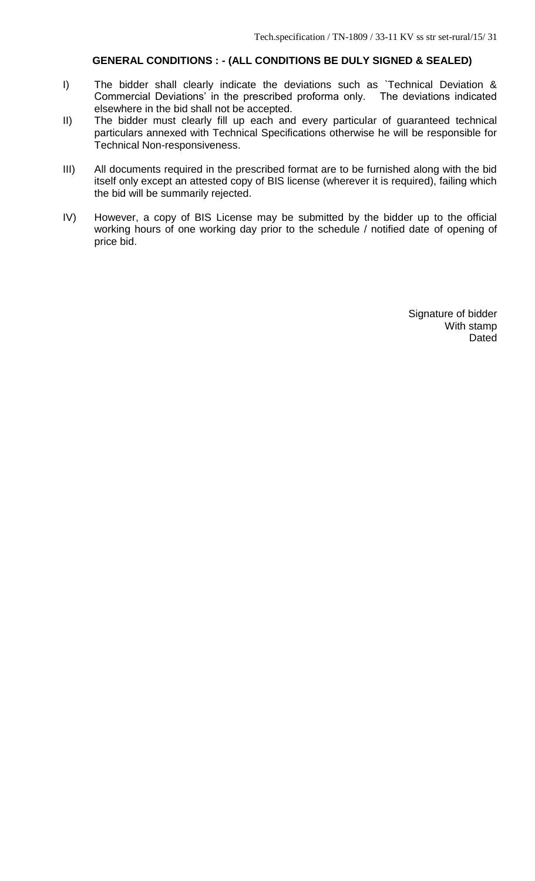# **GENERAL CONDITIONS : - (ALL CONDITIONS BE DULY SIGNED & SEALED)**

- I) The bidder shall clearly indicate the deviations such as `Technical Deviation & Commercial Deviations' in the prescribed proforma only. The deviations indicated elsewhere in the bid shall not be accepted.
- II) The bidder must clearly fill up each and every particular of guaranteed technical particulars annexed with Technical Specifications otherwise he will be responsible for Technical Non-responsiveness.
- III) All documents required in the prescribed format are to be furnished along with the bid itself only except an attested copy of BIS license (wherever it is required), failing which the bid will be summarily rejected.
- IV) However, a copy of BIS License may be submitted by the bidder up to the official working hours of one working day prior to the schedule / notified date of opening of price bid.

Signature of bidder With stamp **Dated**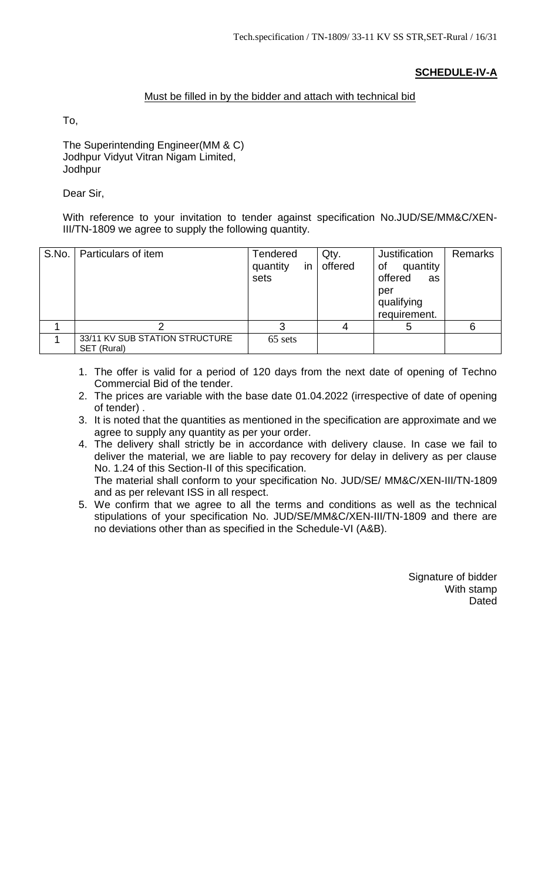# **SCHEDULE-IV-A**

# Must be filled in by the bidder and attach with technical bid

To,

The Superintending Engineer(MM & C) Jodhpur Vidyut Vitran Nigam Limited, Jodhpur

Dear Sir,

With reference to your invitation to tender against specification No.JUD/SE/MM&C/XEN-III/TN-1809 we agree to supply the following quantity.

| S.No. | Particulars of item                           | <b>Tendered</b><br>quantity<br>in<br>sets | Qty.<br>offered | Justification<br>quantity<br>of<br>offered<br>as<br>per<br>qualifying<br>requirement. | <b>Remarks</b> |
|-------|-----------------------------------------------|-------------------------------------------|-----------------|---------------------------------------------------------------------------------------|----------------|
|       |                                               | ີ                                         | 4               | b                                                                                     | 6              |
|       | 33/11 KV SUB STATION STRUCTURE<br>SET (Rural) | 65 sets                                   |                 |                                                                                       |                |

- 1. The offer is valid for a period of 120 days from the next date of opening of Techno Commercial Bid of the tender.
- 2. The prices are variable with the base date 01.04.2022 (irrespective of date of opening of tender) .
- 3. It is noted that the quantities as mentioned in the specification are approximate and we agree to supply any quantity as per your order.
- 4. The delivery shall strictly be in accordance with delivery clause. In case we fail to deliver the material, we are liable to pay recovery for delay in delivery as per clause No. 1.24 of this Section-II of this specification. The material shall conform to your specification No. JUD/SE/ MM&C/XEN-III/TN-1809 and as per relevant ISS in all respect.
- 5. We confirm that we agree to all the terms and conditions as well as the technical stipulations of your specification No. JUD/SE/MM&C/XEN-III/TN-1809 and there are no deviations other than as specified in the Schedule-VI (A&B).

Signature of bidder With stamp Dated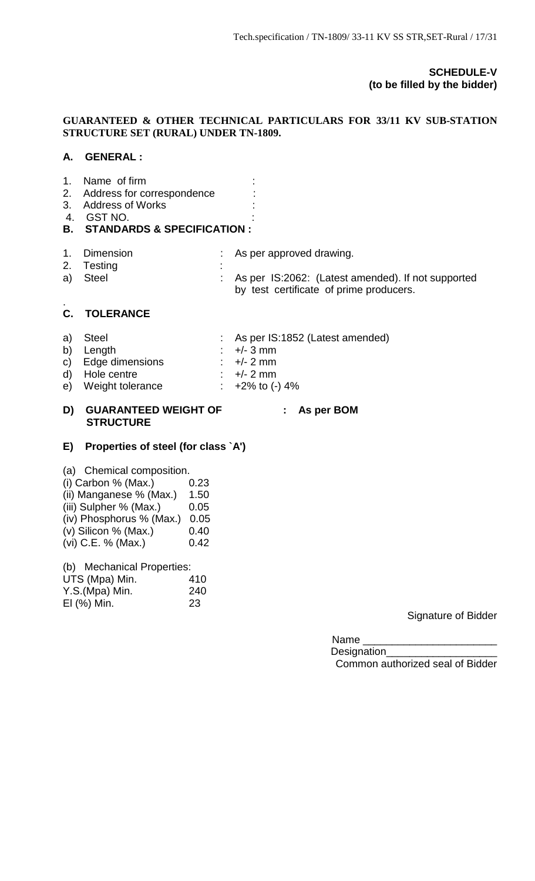# **SCHEDULE-V (to be filled by the bidder)**

# **GUARANTEED & OTHER TECHNICAL PARTICULARS FOR 33/11 KV SUB-STATION STRUCTURE SET (RURAL) UNDER TN-1809.**

# **A. GENERAL :**

| 1.<br>4. | Name of firm<br>2. Address for correspondence<br>3. Address of Works<br>GST NO.<br><b>B. STANDARDS &amp; SPECIFICATION :</b> |                                                    |
|----------|------------------------------------------------------------------------------------------------------------------------------|----------------------------------------------------|
| 1.       | <b>Dimension</b>                                                                                                             | As per approved drawing.                           |
| 2.       | Testing                                                                                                                      | As per IS:2062: (Latest amended). If not supported |
| a)       | <b>Steel</b>                                                                                                                 | by test certificate of prime producers.            |

#### . **C. TOLERANCE**

| a) Steel           | : As per IS:1852 (Latest amended)                       |
|--------------------|---------------------------------------------------------|
| b) Length          | $\div$ +/- 3 mm                                         |
| c) Edge dimensions | $\div$ +/- 2 mm                                         |
| $d$ $L$ $d$        | $\cdot$ $\cdot$ $\cdot$ $\cdot$ $\cdot$ $\cdot$ $\cdot$ |

- d) Hole centre : +/- 2 mm e) Weight tolerance : +2% to (-) 4%
- 
- **D) GUARANTEED WEIGHT OF : As per BOM STRUCTURE**

# **E) Properties of steel (for class `A')**

| (a) Chemical composition.  |      |
|----------------------------|------|
| (i) Carbon $%$ (Max.)      | 0.23 |
| (ii) Manganese % (Max.)    | 1.50 |
| (iii) Sulpher % (Max.)     | 0.05 |
| (iv) Phosphorus % (Max.)   | 0.05 |
| (v) Silicon % (Max.)       | 0.40 |
| (vi) C.E. % (Max.)         | 0.42 |
| (b) Mechanical Properties: |      |
| LITS (Mna) Min             | 410  |

| UTS (Mpa) Min. | 410 |
|----------------|-----|
| Y.S.(Mpa) Min. | 240 |
| EI (%) Min.    | 23  |

# Signature of Bidder

Name \_\_\_\_\_\_\_\_\_\_\_\_\_\_\_\_\_\_\_\_\_\_\_

Designation\_\_\_\_\_\_\_\_\_\_\_\_\_\_\_\_\_\_\_ Common authorized seal of Bidder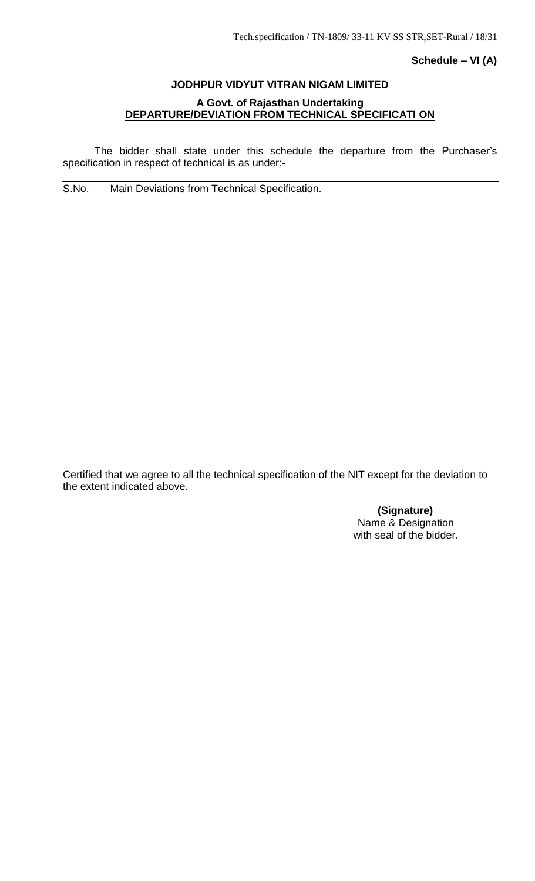## **Schedule – VI (A)**

# **JODHPUR VIDYUT VITRAN NIGAM LIMITED**

# **A Govt. of Rajasthan Undertaking DEPARTURE/DEVIATION FROM TECHNICAL SPECIFICATI ON**

The bidder shall state under this schedule the departure from the Purchaser's specification in respect of technical is as under:-

S.No. Main Deviations from Technical Specification.

Certified that we agree to all the technical specification of the NIT except for the deviation to the extent indicated above.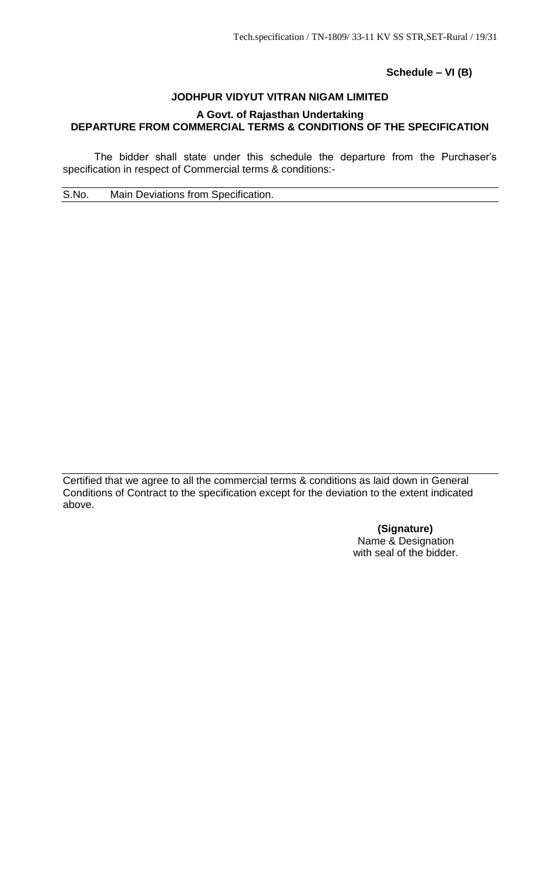**Schedule – VI (B)**

## **JODHPUR VIDYUT VITRAN NIGAM LIMITED**

# **A Govt. of Rajasthan Undertaking DEPARTURE FROM COMMERCIAL TERMS & CONDITIONS OF THE SPECIFICATION**

The bidder shall state under this schedule the departure from the Purchaser's specification in respect of Commercial terms & conditions:-

S.No. Main Deviations from Specification.

Certified that we agree to all the commercial terms & conditions as laid down in General Conditions of Contract to the specification except for the deviation to the extent indicated above.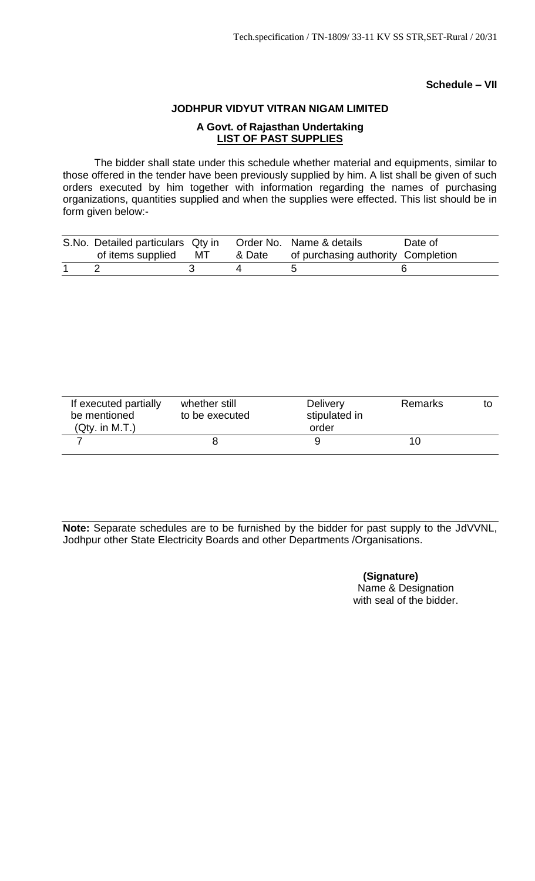# **Schedule – VII**

# **JODHPUR VIDYUT VITRAN NIGAM LIMITED A Govt. of Rajasthan Undertaking LIST OF PAST SUPPLIES**

The bidder shall state under this schedule whether material and equipments, similar to those offered in the tender have been previously supplied by him. A list shall be given of such orders executed by him together with information regarding the names of purchasing organizations, quantities supplied and when the supplies were effected. This list should be in form given below:-

| S.No. Detailed particulars Qty in Order No. Name & details |        |                                    | Date of |
|------------------------------------------------------------|--------|------------------------------------|---------|
| of items supplied MT                                       | & Date | of purchasing authority Completion |         |
|                                                            |        |                                    |         |

| If executed partially<br>be mentioned<br>(Qty. in M.T.) | whether still<br>to be executed | <b>Delivery</b><br>stipulated in<br>order | Remarks |  |
|---------------------------------------------------------|---------------------------------|-------------------------------------------|---------|--|
|                                                         |                                 |                                           | 1 C     |  |

**Note:** Separate schedules are to be furnished by the bidder for past supply to the JdVVNL, Jodhpur other State Electricity Boards and other Departments /Organisations.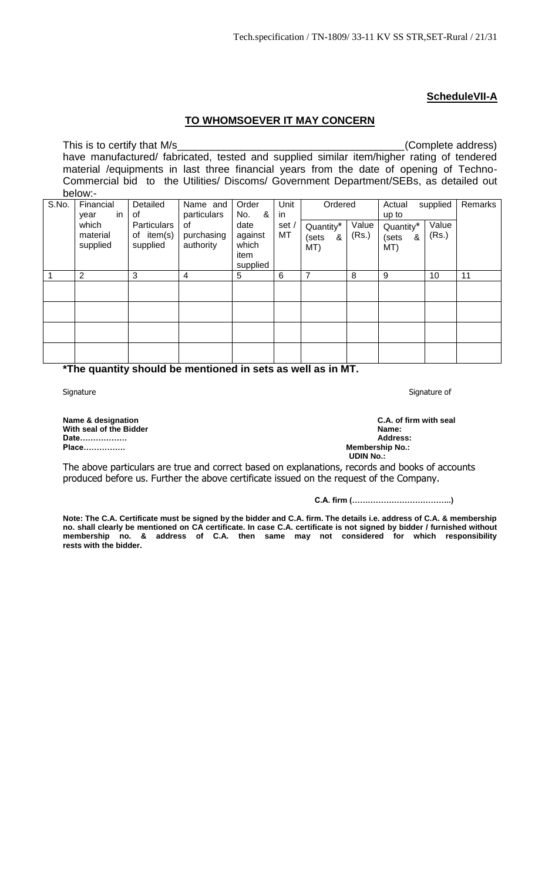# **ScheduleVII-A**

# **TO WHOMSOEVER IT MAY CONCERN**

This is to certify that M/s\_\_\_\_\_\_\_\_\_\_\_\_\_\_\_\_\_\_\_\_\_\_\_\_\_\_\_\_\_\_\_\_\_\_\_\_\_\_\_(Complete address) have manufactured/ fabricated, tested and supplied similar item/higher rating of tendered material /equipments in last three financial years from the date of opening of Techno-Commercial bid to the Utilities/ Discoms/ Government Department/SEBs, as detailed out below:-

| S.No. | Financial<br>-in<br>year      | Detailed<br>0f                        | Name and<br>particulars       | Order<br>No.<br>&                            | Unit<br>in  | Ordered                                    |                | Actual<br>up to                | supplied       | Remarks |
|-------|-------------------------------|---------------------------------------|-------------------------------|----------------------------------------------|-------------|--------------------------------------------|----------------|--------------------------------|----------------|---------|
|       | which<br>material<br>supplied | Particulars<br>of item(s)<br>supplied | 0f<br>purchasing<br>authority | date<br>against<br>which<br>item<br>supplied | set /<br>MT | Quantity <sup>*</sup><br>(sets<br>&<br>MT) | Value<br>(Rs.) | Quantity*<br>(sets<br>&<br>MT) | Value<br>(Rs.) |         |
|       | 2                             | 3                                     | 4                             | 5                                            | 6           | 7                                          | 8              | 9                              | 10             | 11      |
|       |                               |                                       |                               |                                              |             |                                            |                |                                |                |         |
|       |                               |                                       |                               |                                              |             |                                            |                |                                |                |         |
|       |                               |                                       |                               |                                              |             |                                            |                |                                |                |         |
|       |                               |                                       |                               |                                              |             |                                            |                |                                |                |         |

#### **\*The quantity should be mentioned in sets as well as in MT.**

Signature Signature of the Signature of the Signature of the Signature of the Signature of the Signature of the Signature of the Signature of the Signature of the Signature of the Signature of the Signature of the Signatur

**Name & designation C.A. of firm with seal With seal of the Bidder Name: Date……………… Address: Place……………. Membership No.:**

**UDIN No.:**

The above particulars are true and correct based on explanations, records and books of accounts produced before us. Further the above certificate issued on the request of the Company.

**C.A. firm (………………………………..)**

**Note: The C.A. Certificate must be signed by the bidder and C.A. firm. The details i.e. address of C.A. & membership no. shall clearly be mentioned on CA certificate. In case C.A. certificate is not signed by bidder / furnished without membership no. & address of C.A. then same may not considered for which responsibility rests with the bidder.**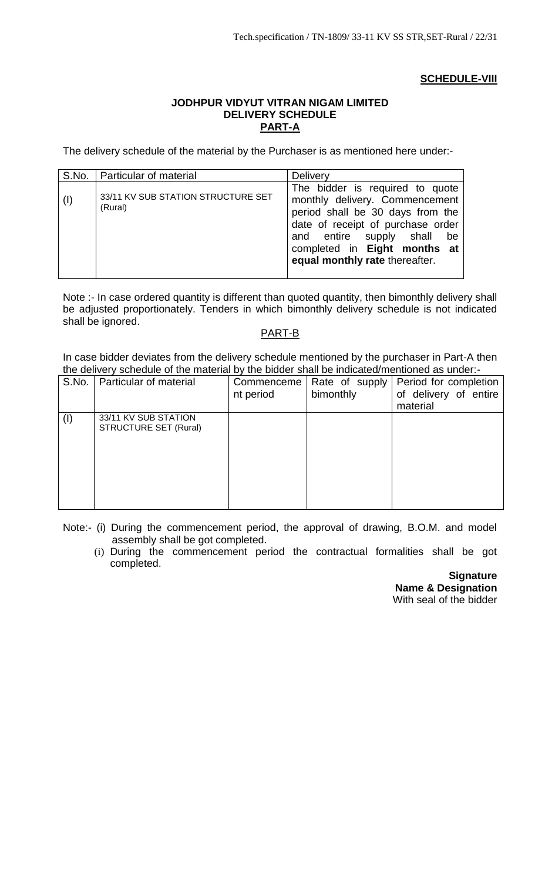# **SCHEDULE-VIII**

## **JODHPUR VIDYUT VITRAN NIGAM LIMITED DELIVERY SCHEDULE PART-A**

The delivery schedule of the material by the Purchaser is as mentioned here under:-

|     | S.No.   Particular of material                | Delivery                                                                                                                                                                                                                                      |
|-----|-----------------------------------------------|-----------------------------------------------------------------------------------------------------------------------------------------------------------------------------------------------------------------------------------------------|
| ( ) | 33/11 KV SUB STATION STRUCTURE SET<br>(Rural) | The bidder is required to quote<br>monthly delivery. Commencement<br>period shall be 30 days from the<br>date of receipt of purchase order<br>and entire supply shall<br>be<br>completed in Eight months at<br>equal monthly rate thereafter. |

Note :- In case ordered quantity is different than quoted quantity, then bimonthly delivery shall be adjusted proportionately. Tenders in which bimonthly delivery schedule is not indicated shall be ignored.

# PART-B

In case bidder deviates from the delivery schedule mentioned by the purchaser in Part-A then the delivery schedule of the material by the bidder shall be indicated/mentioned as under:-

| S.No. | Particular of material                               | Commenceme<br>nt period | Rate of supply<br>bimonthly | Period for completion<br>of delivery of entire<br>material |
|-------|------------------------------------------------------|-------------------------|-----------------------------|------------------------------------------------------------|
| (1)   | 33/11 KV SUB STATION<br><b>STRUCTURE SET (Rural)</b> |                         |                             |                                                            |

Note:- (i) During the commencement period, the approval of drawing, B.O.M. and model assembly shall be got completed.

(i) During the commencement period the contractual formalities shall be got completed.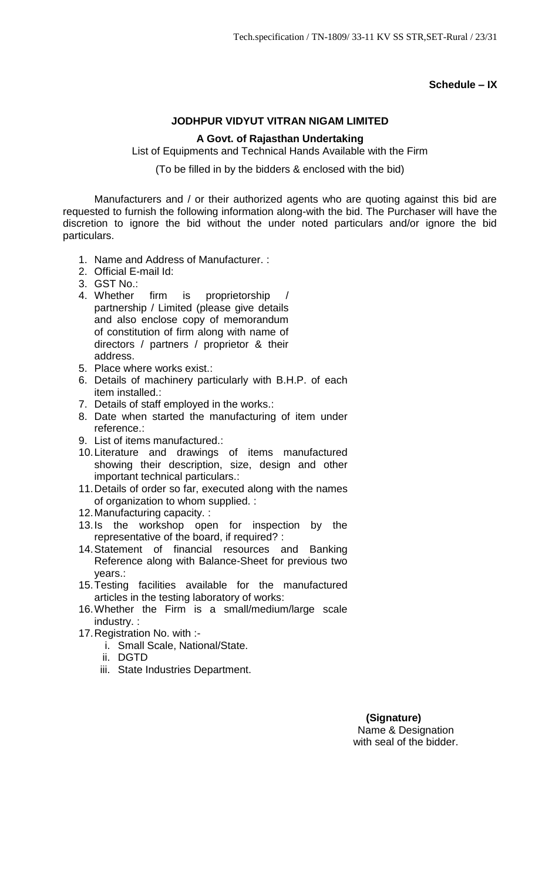# **Schedule – IX**

# **JODHPUR VIDYUT VITRAN NIGAM LIMITED**

## **A Govt. of Rajasthan Undertaking**

List of Equipments and Technical Hands Available with the Firm

(To be filled in by the bidders & enclosed with the bid)

Manufacturers and / or their authorized agents who are quoting against this bid are requested to furnish the following information along-with the bid. The Purchaser will have the discretion to ignore the bid without the under noted particulars and/or ignore the bid particulars.

- 1. Name and Address of Manufacturer. :
- 2. Official E-mail Id:
- 3. GST No.:
- 4. Whether firm is proprietorship partnership / Limited (please give details and also enclose copy of memorandum of constitution of firm along with name of directors / partners / proprietor & their address.
- 5. Place where works exist.:
- 6. Details of machinery particularly with B.H.P. of each item installed.:
- 7. Details of staff employed in the works.:
- 8. Date when started the manufacturing of item under reference.:
- 9. List of items manufactured.:
- 10.Literature and drawings of items manufactured showing their description, size, design and other important technical particulars.:
- 11.Details of order so far, executed along with the names of organization to whom supplied. :
- 12.Manufacturing capacity. :
- 13.Is the workshop open for inspection by the representative of the board, if required? :
- 14.Statement of financial resources and Banking Reference along with Balance-Sheet for previous two years.:
- 15.Testing facilities available for the manufactured articles in the testing laboratory of works:
- 16.Whether the Firm is a small/medium/large scale industry. :
- 17.Registration No. with :
	- i. Small Scale, National/State.
	- ii. DGTD
	- iii. State Industries Department.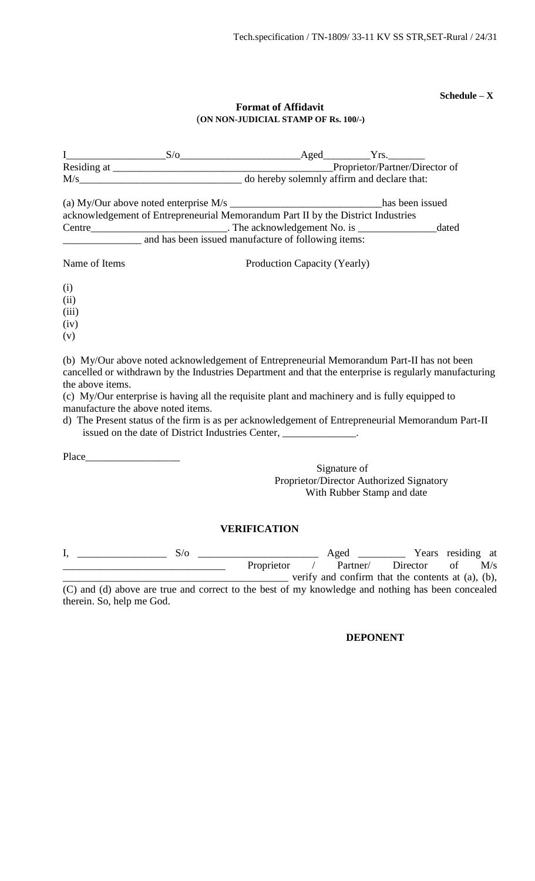**Schedule – X**

# **Format of Affidavit** (**ON NON-JUDICIAL STAMP OF Rs. 100/-)**

|               | $S/\sigma$                                                                       | Aged                                        | Yrs.                           |       |
|---------------|----------------------------------------------------------------------------------|---------------------------------------------|--------------------------------|-------|
|               |                                                                                  |                                             | Proprietor/Partner/Director of |       |
| M/s           |                                                                                  | do hereby solemnly affirm and declare that: |                                |       |
|               | (a) My/Our above noted enterprise $M/s$                                          |                                             | has been issued                |       |
|               | acknowledgement of Entrepreneurial Memorandum Part II by the District Industries |                                             |                                |       |
| Centre        | $\frac{1}{2}$ The acknowledgement No. is $\frac{1}{2}$                           |                                             |                                | dated |
|               | and has been issued manufacture of following items:                              |                                             |                                |       |
| Name of Items |                                                                                  | Production Capacity (Yearly)                |                                |       |
| (i)           |                                                                                  |                                             |                                |       |
| (ii)          |                                                                                  |                                             |                                |       |

(iii)

 $(iv)$ 

(v)

(b) My/Our above noted acknowledgement of Entrepreneurial Memorandum Part-II has not been cancelled or withdrawn by the Industries Department and that the enterprise is regularly manufacturing the above items.

(c) My/Our enterprise is having all the requisite plant and machinery and is fully equipped to manufacture the above noted items.

d) The Present status of the firm is as per acknowledgement of Entrepreneurial Memorandum Part-II issued on the date of District Industries Center,

Place\_\_\_\_\_\_\_\_\_\_\_\_\_\_\_\_\_\_

Signature of Proprietor/Director Authorized Signatory With Rubber Stamp and date

# **VERIFICATION**

| S/o                                                                                               |            | Aged     |                                                         |    | Years residing at |
|---------------------------------------------------------------------------------------------------|------------|----------|---------------------------------------------------------|----|-------------------|
|                                                                                                   | Proprietor | Partner/ | Director                                                | Ωt | M/s               |
|                                                                                                   |            |          | verify and confirm that the contents at $(a)$ , $(b)$ , |    |                   |
| (C) and (d) above are true and correct to the best of my knowledge and nothing has been concealed |            |          |                                                         |    |                   |

therein. So, help me God.

## **DEPONENT**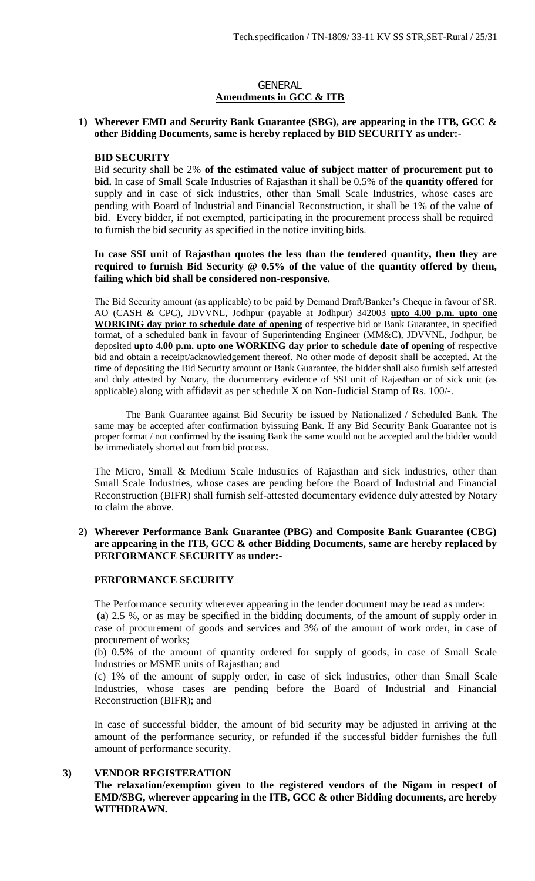## GENERAL **Amendments in GCC & ITB**

#### **1) Wherever EMD and Security Bank Guarantee (SBG), are appearing in the ITB, GCC & other Bidding Documents, same is hereby replaced by BID SECURITY as under:-**

#### **BID SECURITY**

Bid security shall be 2% **of the estimated value of subject matter of procurement put to bid.** In case of Small Scale Industries of Rajasthan it shall be 0.5% of the **quantity offered** for supply and in case of sick industries, other than Small Scale Industries, whose cases are pending with Board of Industrial and Financial Reconstruction, it shall be 1% of the value of bid. Every bidder, if not exempted, participating in the procurement process shall be required to furnish the bid security as specified in the notice inviting bids.

**In case SSI unit of Rajasthan quotes the less than the tendered quantity, then they are required to furnish Bid Security @ 0.5% of the value of the quantity offered by them, failing which bid shall be considered non-responsive.** 

The Bid Security amount (as applicable) to be paid by Demand Draft/Banker's Cheque in favour of SR. AO (CASH & CPC), JDVVNL, Jodhpur (payable at Jodhpur) 342003 **upto 4.00 p.m. upto one WORKING day prior to schedule date of opening** of respective bid or Bank Guarantee, in specified format, of a scheduled bank in favour of Superintending Engineer (MM&C), JDVVNL, Jodhpur, be deposited **upto 4.00 p.m. upto one WORKING day prior to schedule date of opening** of respective bid and obtain a receipt/acknowledgement thereof. No other mode of deposit shall be accepted. At the time of depositing the Bid Security amount or Bank Guarantee, the bidder shall also furnish self attested and duly attested by Notary, the documentary evidence of SSI unit of Rajasthan or of sick unit (as applicable) along with affidavit as per schedule X on Non-Judicial Stamp of Rs. 100/-.

The Bank Guarantee against Bid Security be issued by Nationalized / Scheduled Bank. The same may be accepted after confirmation byissuing Bank. If any Bid Security Bank Guarantee not is proper format / not confirmed by the issuing Bank the same would not be accepted and the bidder would be immediately shorted out from bid process.

The Micro, Small & Medium Scale Industries of Rajasthan and sick industries, other than Small Scale Industries, whose cases are pending before the Board of Industrial and Financial Reconstruction (BIFR) shall furnish self-attested documentary evidence duly attested by Notary to claim the above.

#### **2) Wherever Performance Bank Guarantee (PBG) and Composite Bank Guarantee (CBG) are appearing in the ITB, GCC & other Bidding Documents, same are hereby replaced by PERFORMANCE SECURITY as under:-**

# **PERFORMANCE SECURITY**

The Performance security wherever appearing in the tender document may be read as under-:

(a) 2.5 %, or as may be specified in the bidding documents, of the amount of supply order in case of procurement of goods and services and 3% of the amount of work order, in case of procurement of works;

(b) 0.5% of the amount of quantity ordered for supply of goods, in case of Small Scale Industries or MSME units of Rajasthan; and

(c) 1% of the amount of supply order, in case of sick industries, other than Small Scale Industries, whose cases are pending before the Board of Industrial and Financial Reconstruction (BIFR); and

In case of successful bidder, the amount of bid security may be adjusted in arriving at the amount of the performance security, or refunded if the successful bidder furnishes the full amount of performance security.

## **3) VENDOR REGISTERATION**

**The relaxation/exemption given to the registered vendors of the Nigam in respect of EMD/SBG, wherever appearing in the ITB, GCC & other Bidding documents, are hereby WITHDRAWN.**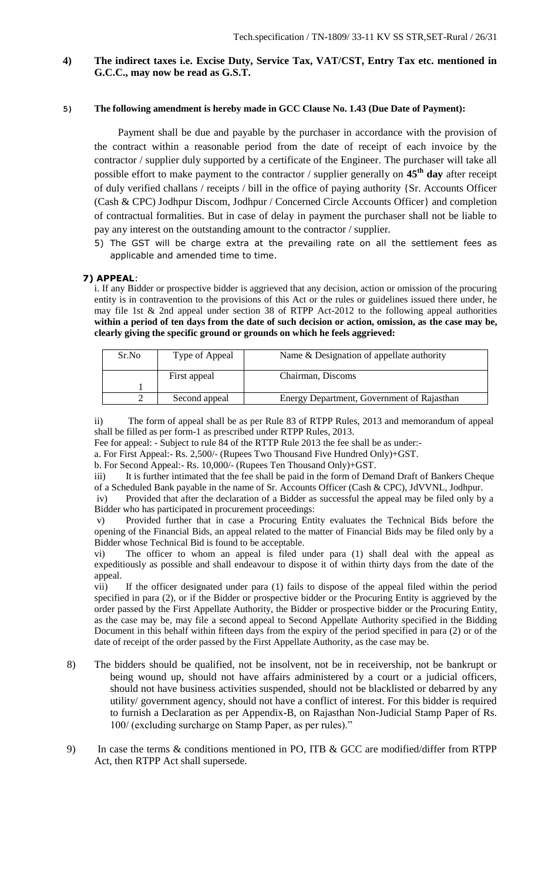# **4) The indirect taxes i.e. Excise Duty, Service Tax, VAT/CST, Entry Tax etc. mentioned in G.C.C., may now be read as G.S.T.**

#### **5) The following amendment is hereby made in GCC Clause No. 1.43 (Due Date of Payment):**

 Payment shall be due and payable by the purchaser in accordance with the provision of the contract within a reasonable period from the date of receipt of each invoice by the contractor / supplier duly supported by a certificate of the Engineer. The purchaser will take all possible effort to make payment to the contractor / supplier generally on **45th day** after receipt of duly verified challans / receipts / bill in the office of paying authority {Sr. Accounts Officer (Cash & CPC) Jodhpur Discom, Jodhpur / Concerned Circle Accounts Officer} and completion of contractual formalities. But in case of delay in payment the purchaser shall not be liable to pay any interest on the outstanding amount to the contractor / supplier.

5) The GST will be charge extra at the prevailing rate on all the settlement fees as applicable and amended time to time.

#### **7) APPEAL**:

i. If any Bidder or prospective bidder is aggrieved that any decision, action or omission of the procuring entity is in contravention to the provisions of this Act or the rules or guidelines issued there under, he may file 1st & 2nd appeal under section 38 of RTPP Act-2012 to the following appeal authorities **within a period of ten days from the date of such decision or action, omission, as the case may be, clearly giving the specific ground or grounds on which he feels aggrieved:** 

| Sr.No | Type of Appeal | Name & Designation of appellate authority  |
|-------|----------------|--------------------------------------------|
|       | First appeal   | Chairman, Discoms                          |
|       |                |                                            |
|       | Second appeal  | Energy Department, Government of Rajasthan |

ii) The form of appeal shall be as per Rule 83 of RTPP Rules, 2013 and memorandum of appeal shall be filled as per form-1 as prescribed under RTPP Rules, 2013.

Fee for appeal: - Subject to rule 84 of the RTTP Rule 2013 the fee shall be as under:-

a. For First Appeal:- Rs. 2,500/- (Rupees Two Thousand Five Hundred Only)+GST.

b. For Second Appeal:- Rs. 10,000/- (Rupees Ten Thousand Only)+GST.

iii) It is further intimated that the fee shall be paid in the form of Demand Draft of Bankers Cheque of a Scheduled Bank payable in the name of Sr. Accounts Officer (Cash & CPC), JdVVNL, Jodhpur.

iv) Provided that after the declaration of a Bidder as successful the appeal may be filed only by a Bidder who has participated in procurement proceedings:

v) Provided further that in case a Procuring Entity evaluates the Technical Bids before the opening of the Financial Bids, an appeal related to the matter of Financial Bids may be filed only by a Bidder whose Technical Bid is found to be acceptable.

vi) The officer to whom an appeal is filed under para (1) shall deal with the appeal as expeditiously as possible and shall endeavour to dispose it of within thirty days from the date of the appeal.

vii) If the officer designated under para (1) fails to dispose of the appeal filed within the period specified in para (2), or if the Bidder or prospective bidder or the Procuring Entity is aggrieved by the order passed by the First Appellate Authority, the Bidder or prospective bidder or the Procuring Entity, as the case may be, may file a second appeal to Second Appellate Authority specified in the Bidding Document in this behalf within fifteen days from the expiry of the period specified in para (2) or of the date of receipt of the order passed by the First Appellate Authority, as the case may be.

- 8) The bidders should be qualified, not be insolvent, not be in receivership, not be bankrupt or being wound up, should not have affairs administered by a court or a judicial officers, should not have business activities suspended, should not be blacklisted or debarred by any utility/ government agency, should not have a conflict of interest. For this bidder is required to furnish a Declaration as per Appendix-B, on Rajasthan Non-Judicial Stamp Paper of Rs. 100/ (excluding surcharge on Stamp Paper, as per rules)."
- 9) In case the terms & conditions mentioned in PO, ITB & GCC are modified/differ from RTPP Act, then RTPP Act shall supersede.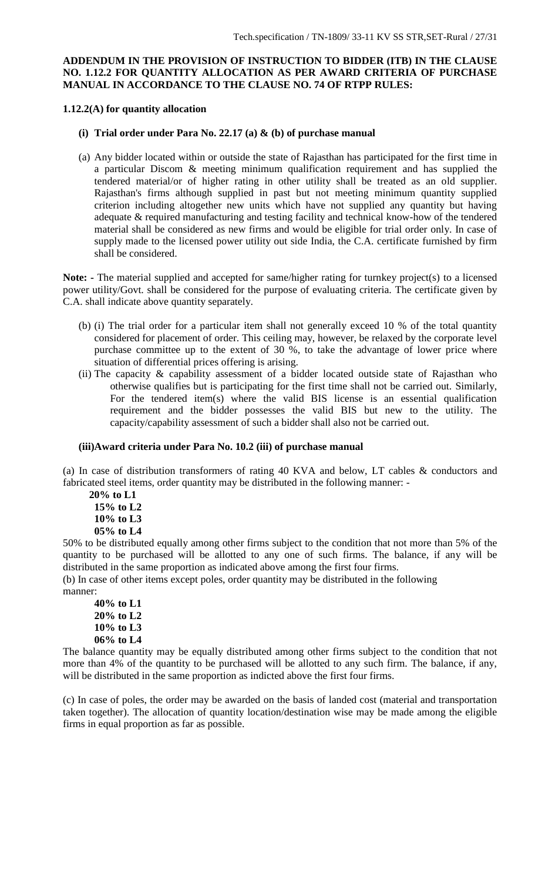## **ADDENDUM IN THE PROVISION OF INSTRUCTION TO BIDDER (ITB) IN THE CLAUSE NO. 1.12.2 FOR QUANTITY ALLOCATION AS PER AWARD CRITERIA OF PURCHASE MANUAL IN ACCORDANCE TO THE CLAUSE NO. 74 OF RTPP RULES:**

#### **1.12.2(A) for quantity allocation**

#### **(i) Trial order under Para No. 22.17 (a) & (b) of purchase manual**

(a) Any bidder located within or outside the state of Rajasthan has participated for the first time in a particular Discom & meeting minimum qualification requirement and has supplied the tendered material/or of higher rating in other utility shall be treated as an old supplier. Rajasthan's firms although supplied in past but not meeting minimum quantity supplied criterion including altogether new units which have not supplied any quantity but having adequate & required manufacturing and testing facility and technical know-how of the tendered material shall be considered as new firms and would be eligible for trial order only. In case of supply made to the licensed power utility out side India, the C.A. certificate furnished by firm shall be considered.

**Note: -** The material supplied and accepted for same/higher rating for turnkey project(s) to a licensed power utility/Govt. shall be considered for the purpose of evaluating criteria. The certificate given by C.A. shall indicate above quantity separately.

- (b) (i) The trial order for a particular item shall not generally exceed 10 % of the total quantity considered for placement of order. This ceiling may, however, be relaxed by the corporate level purchase committee up to the extent of 30 %, to take the advantage of lower price where situation of differential prices offering is arising.
- (ii) The capacity & capability assessment of a bidder located outside state of Rajasthan who otherwise qualifies but is participating for the first time shall not be carried out. Similarly, For the tendered item(s) where the valid BIS license is an essential qualification requirement and the bidder possesses the valid BIS but new to the utility. The capacity/capability assessment of such a bidder shall also not be carried out.

#### **(iii)Award criteria under Para No. 10.2 (iii) of purchase manual**

(a) In case of distribution transformers of rating 40 KVA and below, LT cables & conductors and fabricated steel items, order quantity may be distributed in the following manner: -

 **20% to L1 15% to L2 10% to L3 05% to L4**

50% to be distributed equally among other firms subject to the condition that not more than 5% of the quantity to be purchased will be allotted to any one of such firms. The balance, if any will be distributed in the same proportion as indicated above among the first four firms.

(b) In case of other items except poles, order quantity may be distributed in the following manner:

**40% to L1 20% to L2 10% to L3 06% to L4**

The balance quantity may be equally distributed among other firms subject to the condition that not more than 4% of the quantity to be purchased will be allotted to any such firm. The balance, if any, will be distributed in the same proportion as indicted above the first four firms.

(c) In case of poles, the order may be awarded on the basis of landed cost (material and transportation taken together). The allocation of quantity location/destination wise may be made among the eligible firms in equal proportion as far as possible.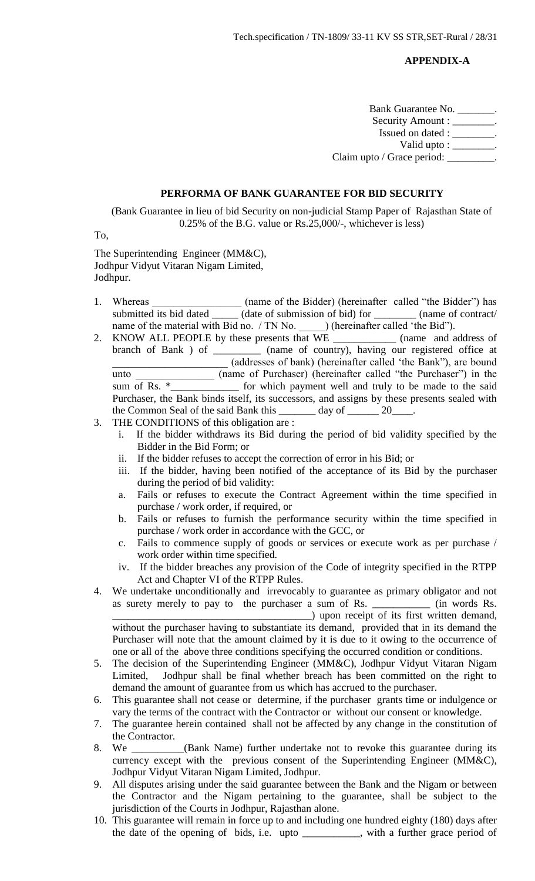#### **APPENDIX-A**

| Bank Guarantee No.                 |  |
|------------------------------------|--|
| Security Amount : _______          |  |
| Issued on dated : ____             |  |
| Valid upto : $\_\_\_\_\_\_\_\_\$ . |  |
| Claim upto / Grace period:         |  |

#### **PERFORMA OF BANK GUARANTEE FOR BID SECURITY**

(Bank Guarantee in lieu of bid Security on non-judicial Stamp Paper of Rajasthan State of 0.25% of the B.G. value or Rs.25,000/-, whichever is less)

To,

The Superintending Engineer (MM&C), Jodhpur Vidyut Vitaran Nigam Limited, Jodhpur.

- 1. Whereas \_\_\_\_\_\_\_\_\_\_\_\_\_\_\_\_\_\_ (name of the Bidder) (hereinafter called "the Bidder") has submitted its bid dated \_\_\_\_\_\_ (date of submission of bid) for \_\_\_\_\_\_\_\_\_ (name of contract/ name of the material with Bid no. / TN No. ) (hereinafter called 'the Bid'').
- 2. KNOW ALL PEOPLE by these presents that WE \_\_\_\_\_\_\_\_\_\_\_\_ (name and address of branch of Bank ) of \_\_\_\_\_\_\_\_\_ (name of country), having our registered office at \_\_\_\_\_\_\_\_\_\_\_\_\_\_\_\_\_\_\_\_\_\_ (addresses of bank) (hereinafter called 'the Bank"), are bound unto  $\frac{1}{\text{sum of Rs. *}}$  (name of Purchaser) (hereinafter called "the Purchaser") in the sum of Rs.  $\frac{1}{\text{sum of the area}}$  for which payment well and truly to be made to the said  $\Box$  for which payment well and truly to be made to the said Purchaser, the Bank binds itself, its successors, and assigns by these presents sealed with the Common Seal of the said Bank this day of 20
- 3. THE CONDITIONS of this obligation are :
	- i. If the bidder withdraws its Bid during the period of bid validity specified by the Bidder in the Bid Form; or
	- ii. If the bidder refuses to accept the correction of error in his Bid; or
	- iii. If the bidder, having been notified of the acceptance of its Bid by the purchaser during the period of bid validity:
	- a. Fails or refuses to execute the Contract Agreement within the time specified in purchase / work order, if required, or
	- b. Fails or refuses to furnish the performance security within the time specified in purchase / work order in accordance with the GCC, or
	- c. Fails to commence supply of goods or services or execute work as per purchase / work order within time specified.
	- iv. If the bidder breaches any provision of the Code of integrity specified in the RTPP Act and Chapter VI of the RTPP Rules.
- 4. We undertake unconditionally and irrevocably to guarantee as primary obligator and not as surety merely to pay to the purchaser a sum of Rs. \_\_\_\_\_\_\_\_\_\_\_ (in words Rs. \_\_\_\_\_\_\_\_\_\_\_\_\_\_\_\_\_\_\_\_\_\_\_\_\_\_\_\_\_\_\_\_\_\_\_\_\_\_) upon receipt of its first written demand, without the purchaser having to substantiate its demand, provided that in its demand the Purchaser will note that the amount claimed by it is due to it owing to the occurrence of one or all of the above three conditions specifying the occurred condition or conditions.
- 5. The decision of the Superintending Engineer (MM&C), Jodhpur Vidyut Vitaran Nigam Limited, Jodhpur shall be final whether breach has been committed on the right to demand the amount of guarantee from us which has accrued to the purchaser.
- 6. This guarantee shall not cease or determine, if the purchaser grants time or indulgence or vary the terms of the contract with the Contractor or without our consent or knowledge.
- 7. The guarantee herein contained shall not be affected by any change in the constitution of the Contractor.
- 8. We \_\_\_\_\_\_\_\_\_\_(Bank Name) further undertake not to revoke this guarantee during its currency except with the previous consent of the Superintending Engineer (MM&C), Jodhpur Vidyut Vitaran Nigam Limited, Jodhpur.
- 9. All disputes arising under the said guarantee between the Bank and the Nigam or between the Contractor and the Nigam pertaining to the guarantee, shall be subject to the jurisdiction of the Courts in Jodhpur, Rajasthan alone.
- 10. This guarantee will remain in force up to and including one hundred eighty (180) days after the date of the opening of bids, i.e. upto \_\_\_\_\_\_\_\_\_\_\_, with a further grace period of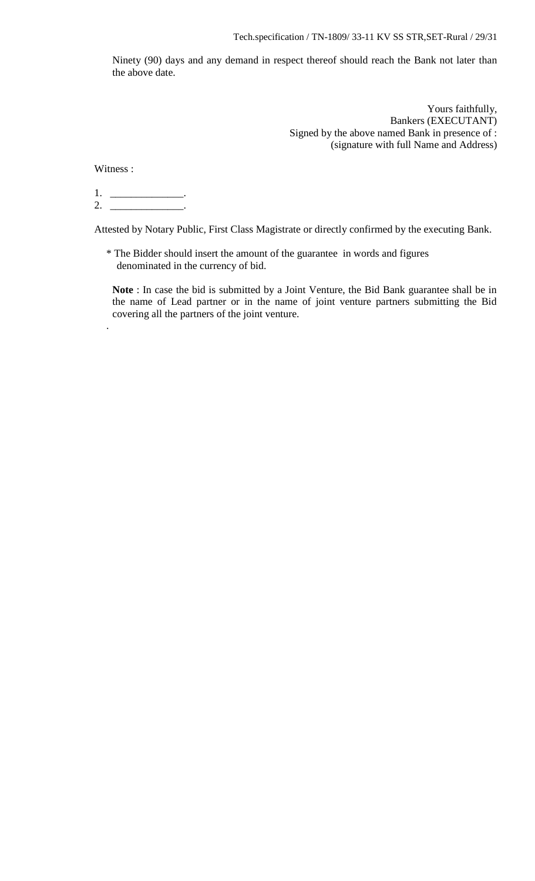Ninety (90) days and any demand in respect thereof should reach the Bank not later than the above date.

> Yours faithfully, Bankers (EXECUTANT) Signed by the above named Bank in presence of : (signature with full Name and Address)

Witness :

.

1. \_\_\_\_\_\_\_\_\_\_\_\_\_\_.  $2.$ 

Attested by Notary Public, First Class Magistrate or directly confirmed by the executing Bank.

\* The Bidder should insert the amount of the guarantee in words and figures denominated in the currency of bid.

**Note** : In case the bid is submitted by a Joint Venture, the Bid Bank guarantee shall be in the name of Lead partner or in the name of joint venture partners submitting the Bid covering all the partners of the joint venture.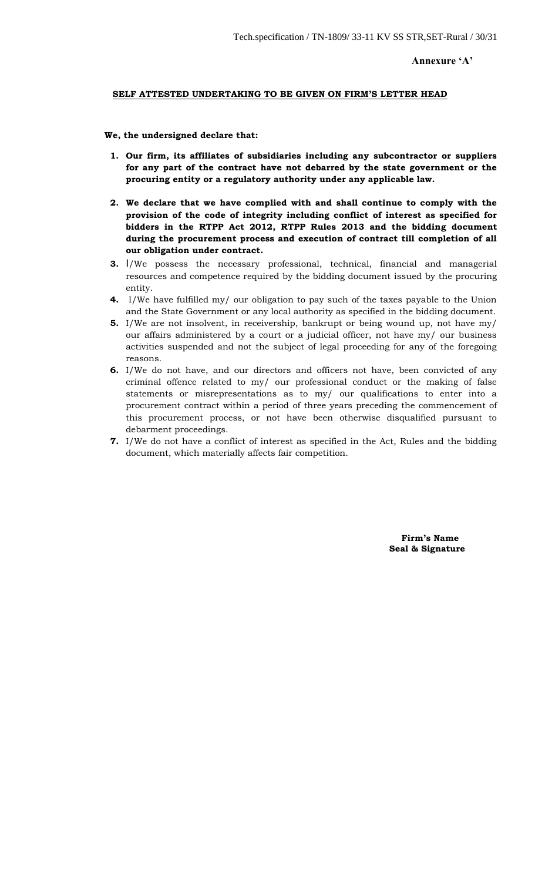#### **Annexure 'A'**

#### **SELF ATTESTED UNDERTAKING TO BE GIVEN ON FIRM'S LETTER HEAD**

#### **We, the undersigned declare that:**

- **1. Our firm, its affiliates of subsidiaries including any subcontractor or suppliers for any part of the contract have not debarred by the state government or the procuring entity or a regulatory authority under any applicable law.**
- **2. We declare that we have complied with and shall continue to comply with the provision of the code of integrity including conflict of interest as specified for bidders in the RTPP Act 2012, RTPP Rules 2013 and the bidding document during the procurement process and execution of contract till completion of all our obligation under contract.**
- **3.** I/We possess the necessary professional, technical, financial and managerial resources and competence required by the bidding document issued by the procuring entity.
- **4.** I/We have fulfilled my/ our obligation to pay such of the taxes payable to the Union and the State Government or any local authority as specified in the bidding document.
- **5.** I/We are not insolvent, in receivership, bankrupt or being wound up, not have my/ our affairs administered by a court or a judicial officer, not have my/ our business activities suspended and not the subject of legal proceeding for any of the foregoing reasons.
- **6.** I/We do not have, and our directors and officers not have, been convicted of any criminal offence related to my/ our professional conduct or the making of false statements or misrepresentations as to my/ our qualifications to enter into a procurement contract within a period of three years preceding the commencement of this procurement process, or not have been otherwise disqualified pursuant to debarment proceedings.
- **7.** I/We do not have a conflict of interest as specified in the Act, Rules and the bidding document, which materially affects fair competition.

 **Firm's Name Seal & Signature**